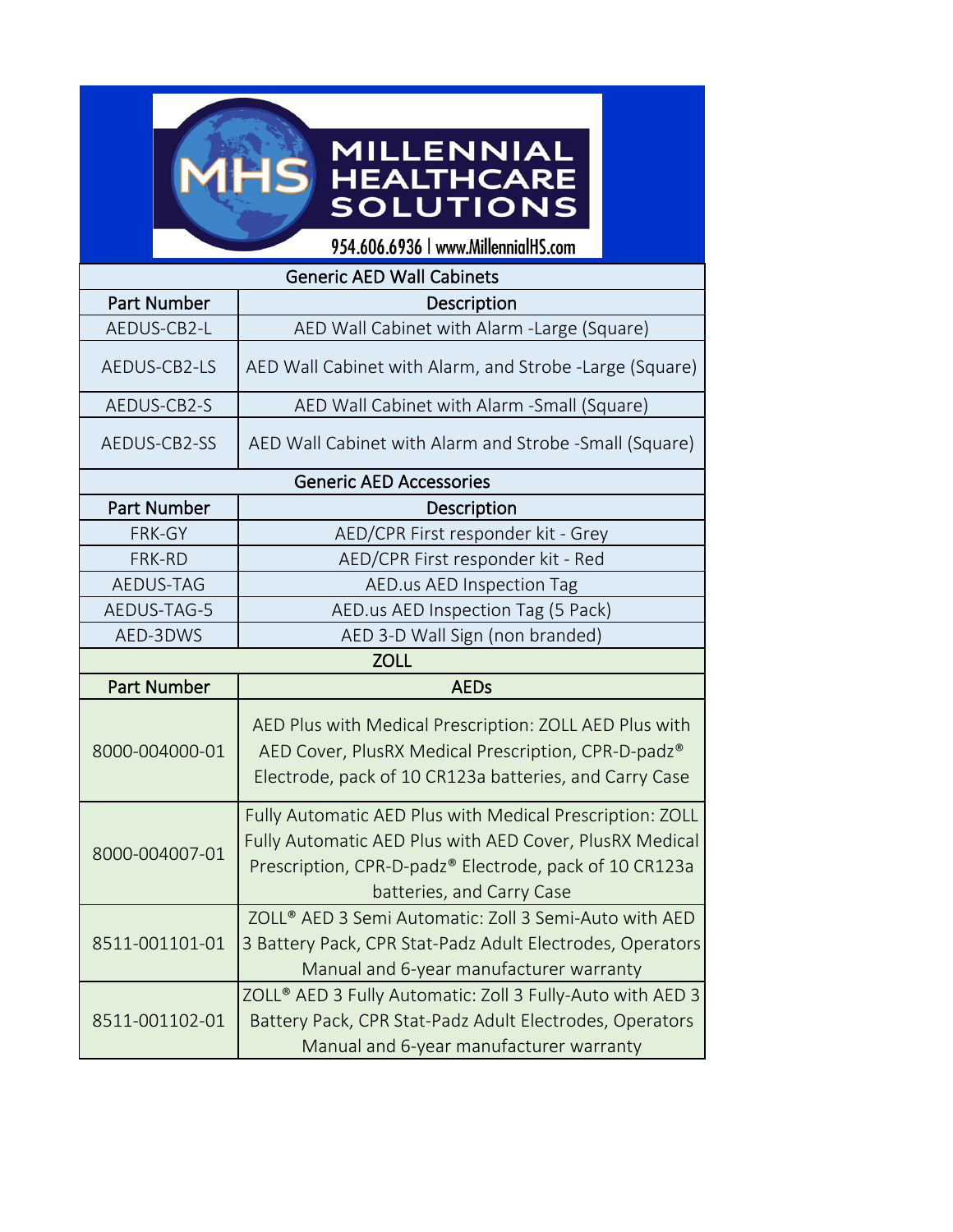## MILLENNIAL<br>HEALTHCARE<br>SOLUTIONS **MHS**

954.606.6936 | www.MillennialHS.com

| <b>Generic AED Wall Cabinets</b> |                                                                                                                                                                                                            |
|----------------------------------|------------------------------------------------------------------------------------------------------------------------------------------------------------------------------------------------------------|
| Part Number                      | Description                                                                                                                                                                                                |
| AEDUS-CB2-L                      | AED Wall Cabinet with Alarm -Large (Square)                                                                                                                                                                |
| AEDUS-CB2-LS                     | AED Wall Cabinet with Alarm, and Strobe -Large (Square)                                                                                                                                                    |
| AEDUS-CB2-S                      | AED Wall Cabinet with Alarm -Small (Square)                                                                                                                                                                |
| AEDUS-CB2-SS                     | AED Wall Cabinet with Alarm and Strobe -Small (Square)                                                                                                                                                     |
|                                  | <b>Generic AED Accessories</b>                                                                                                                                                                             |
| <b>Part Number</b>               | Description                                                                                                                                                                                                |
| FRK-GY                           | AED/CPR First responder kit - Grey                                                                                                                                                                         |
| FRK-RD                           | AED/CPR First responder kit - Red                                                                                                                                                                          |
| AEDUS-TAG                        | AED.us AED Inspection Tag                                                                                                                                                                                  |
| AEDUS-TAG-5                      | AED.us AED Inspection Tag (5 Pack)                                                                                                                                                                         |
| AED-3DWS                         | AED 3-D Wall Sign (non branded)                                                                                                                                                                            |
|                                  | <b>ZOLL</b>                                                                                                                                                                                                |
| <b>Part Number</b>               | <b>AEDs</b>                                                                                                                                                                                                |
| 8000-004000-01                   | AED Plus with Medical Prescription: ZOLL AED Plus with<br>AED Cover, PlusRX Medical Prescription, CPR-D-padz®<br>Electrode, pack of 10 CR123a batteries, and Carry Case                                    |
| 8000-004007-01                   | Fully Automatic AED Plus with Medical Prescription: ZOLL<br>Fully Automatic AED Plus with AED Cover, PlusRX Medical<br>Prescription, CPR-D-padz® Electrode, pack of 10 CR123a<br>batteries, and Carry Case |
| 8511-001101-01                   | ZOLL <sup>®</sup> AED 3 Semi Automatic: Zoll 3 Semi-Auto with AED<br>3 Battery Pack, CPR Stat-Padz Adult Electrodes, Operators<br>Manual and 6-year manufacturer warranty                                  |
| 8511-001102-01                   | ZOLL <sup>®</sup> AED 3 Fully Automatic: Zoll 3 Fully-Auto with AED 3<br>Battery Pack, CPR Stat-Padz Adult Electrodes, Operators<br>Manual and 6-year manufacturer warranty                                |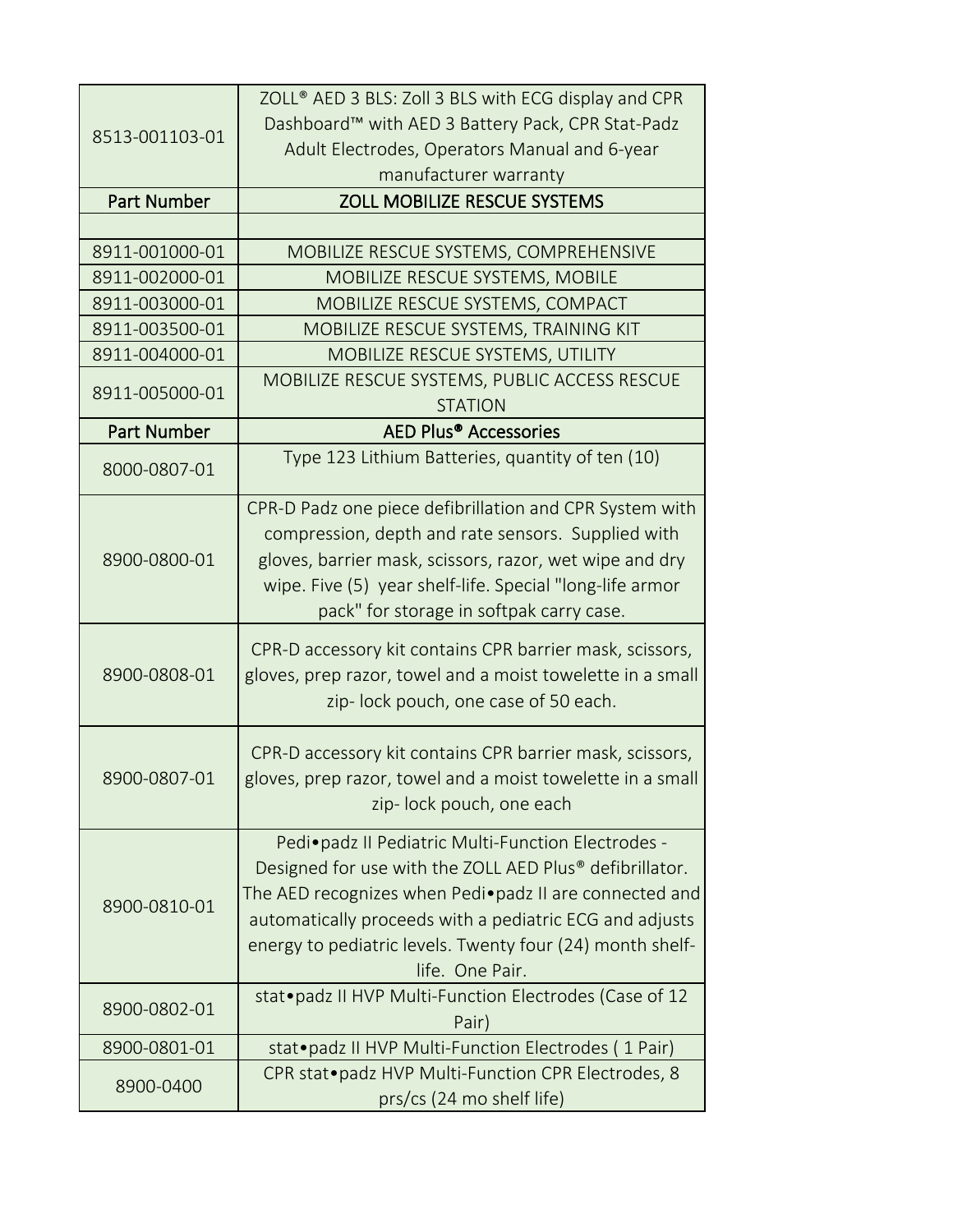| 8513-001103-01     | ZOLL <sup>®</sup> AED 3 BLS: Zoll 3 BLS with ECG display and CPR |
|--------------------|------------------------------------------------------------------|
|                    | Dashboard™ with AED 3 Battery Pack, CPR Stat-Padz                |
|                    | Adult Electrodes, Operators Manual and 6-year                    |
|                    | manufacturer warranty                                            |
| <b>Part Number</b> | ZOLL MOBILIZE RESCUE SYSTEMS                                     |
|                    |                                                                  |
| 8911-001000-01     | MOBILIZE RESCUE SYSTEMS, COMPREHENSIVE                           |
| 8911-002000-01     | MOBILIZE RESCUE SYSTEMS, MOBILE                                  |
| 8911-003000-01     | MOBILIZE RESCUE SYSTEMS, COMPACT                                 |
| 8911-003500-01     | MOBILIZE RESCUE SYSTEMS, TRAINING KIT                            |
| 8911-004000-01     | MOBILIZE RESCUE SYSTEMS, UTILITY                                 |
| 8911-005000-01     | MOBILIZE RESCUE SYSTEMS, PUBLIC ACCESS RESCUE                    |
|                    | <b>STATION</b>                                                   |
| <b>Part Number</b> | <b>AED Plus<sup>®</sup> Accessories</b>                          |
| 8000-0807-01       | Type 123 Lithium Batteries, quantity of ten (10)                 |
|                    | CPR-D Padz one piece defibrillation and CPR System with          |
|                    | compression, depth and rate sensors. Supplied with               |
| 8900-0800-01       | gloves, barrier mask, scissors, razor, wet wipe and dry          |
|                    | wipe. Five (5) year shelf-life. Special "long-life armor         |
|                    | pack" for storage in softpak carry case.                         |
|                    | CPR-D accessory kit contains CPR barrier mask, scissors,         |
| 8900-0808-01       | gloves, prep razor, towel and a moist towelette in a small       |
|                    | zip-lock pouch, one case of 50 each.                             |
|                    |                                                                  |
|                    | CPR-D accessory kit contains CPR barrier mask, scissors,         |
| 8900-0807-01       | gloves, prep razor, towel and a moist towelette in a small       |
|                    | zip-lock pouch, one each                                         |
|                    |                                                                  |
|                    | Pediopadz II Pediatric Multi-Function Electrodes -               |
|                    | Designed for use with the ZOLL AED Plus® defibrillator.          |
| 8900-0810-01       | The AED recognizes when Pedi•padz II are connected and           |
|                    | automatically proceeds with a pediatric ECG and adjusts          |
|                    | energy to pediatric levels. Twenty four (24) month shelf-        |
|                    | life. One Pair.                                                  |
| 8900-0802-01       | stat · padz II HVP Multi-Function Electrodes (Case of 12         |
|                    | Pair)                                                            |
| 8900-0801-01       | stat · padz II HVP Multi-Function Electrodes (1 Pair)            |
| 8900-0400          | CPR stat · padz HVP Multi-Function CPR Electrodes, 8             |
|                    | prs/cs (24 mo shelf life)                                        |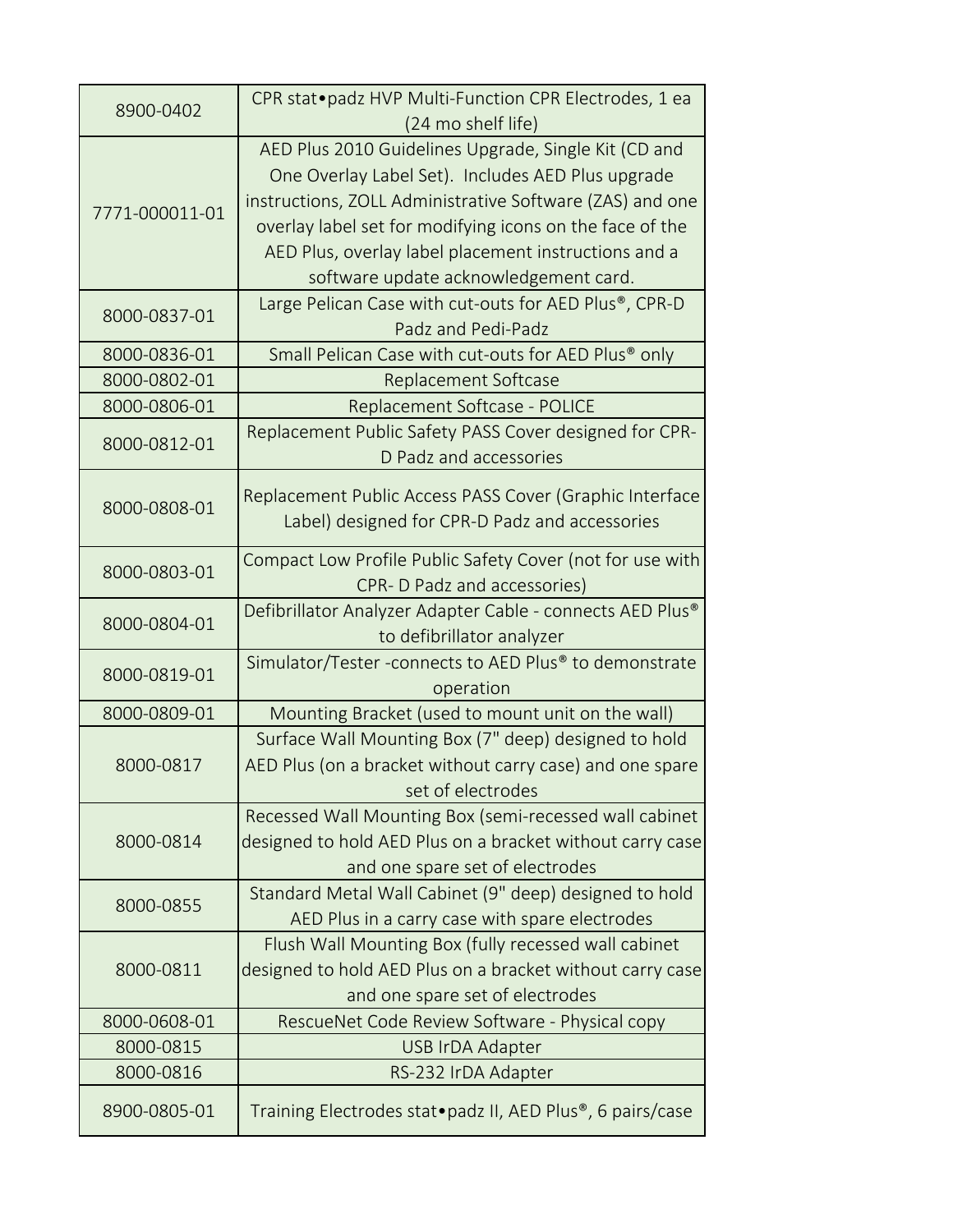| 8900-0402      | CPR stat . padz HVP Multi-Function CPR Electrodes, 1 ea<br>(24 mo shelf life)                                                                                                                                                                                                                                                      |
|----------------|------------------------------------------------------------------------------------------------------------------------------------------------------------------------------------------------------------------------------------------------------------------------------------------------------------------------------------|
| 7771-000011-01 | AED Plus 2010 Guidelines Upgrade, Single Kit (CD and<br>One Overlay Label Set). Includes AED Plus upgrade<br>instructions, ZOLL Administrative Software (ZAS) and one<br>overlay label set for modifying icons on the face of the<br>AED Plus, overlay label placement instructions and a<br>software update acknowledgement card. |
| 8000-0837-01   | Large Pelican Case with cut-outs for AED Plus®, CPR-D<br>Padz and Pedi-Padz                                                                                                                                                                                                                                                        |
| 8000-0836-01   | Small Pelican Case with cut-outs for AED Plus <sup>®</sup> only                                                                                                                                                                                                                                                                    |
| 8000-0802-01   | Replacement Softcase                                                                                                                                                                                                                                                                                                               |
| 8000-0806-01   | Replacement Softcase - POLICE                                                                                                                                                                                                                                                                                                      |
| 8000-0812-01   | Replacement Public Safety PASS Cover designed for CPR-<br>D Padz and accessories                                                                                                                                                                                                                                                   |
| 8000-0808-01   | Replacement Public Access PASS Cover (Graphic Interface<br>Label) designed for CPR-D Padz and accessories                                                                                                                                                                                                                          |
| 8000-0803-01   | Compact Low Profile Public Safety Cover (not for use with<br>CPR-D Padz and accessories)                                                                                                                                                                                                                                           |
| 8000-0804-01   | Defibrillator Analyzer Adapter Cable - connects AED Plus®<br>to defibrillator analyzer                                                                                                                                                                                                                                             |
| 8000-0819-01   | Simulator/Tester -connects to AED Plus® to demonstrate<br>operation                                                                                                                                                                                                                                                                |
| 8000-0809-01   | Mounting Bracket (used to mount unit on the wall)                                                                                                                                                                                                                                                                                  |
| 8000-0817      | Surface Wall Mounting Box (7" deep) designed to hold<br>AED Plus (on a bracket without carry case) and one spare<br>set of electrodes                                                                                                                                                                                              |
| 8000-0814      | Recessed Wall Mounting Box (semi-recessed wall cabinet<br>designed to hold AED Plus on a bracket without carry case<br>and one spare set of electrodes                                                                                                                                                                             |
| 8000-0855      | Standard Metal Wall Cabinet (9" deep) designed to hold<br>AED Plus in a carry case with spare electrodes                                                                                                                                                                                                                           |
| 8000-0811      | Flush Wall Mounting Box (fully recessed wall cabinet<br>designed to hold AED Plus on a bracket without carry case<br>and one spare set of electrodes                                                                                                                                                                               |
| 8000-0608-01   | RescueNet Code Review Software - Physical copy                                                                                                                                                                                                                                                                                     |
| 8000-0815      | USB IrDA Adapter                                                                                                                                                                                                                                                                                                                   |
| 8000-0816      | RS-232 IrDA Adapter                                                                                                                                                                                                                                                                                                                |
| 8900-0805-01   | Training Electrodes stat . padz II, AED Plus®, 6 pairs/case                                                                                                                                                                                                                                                                        |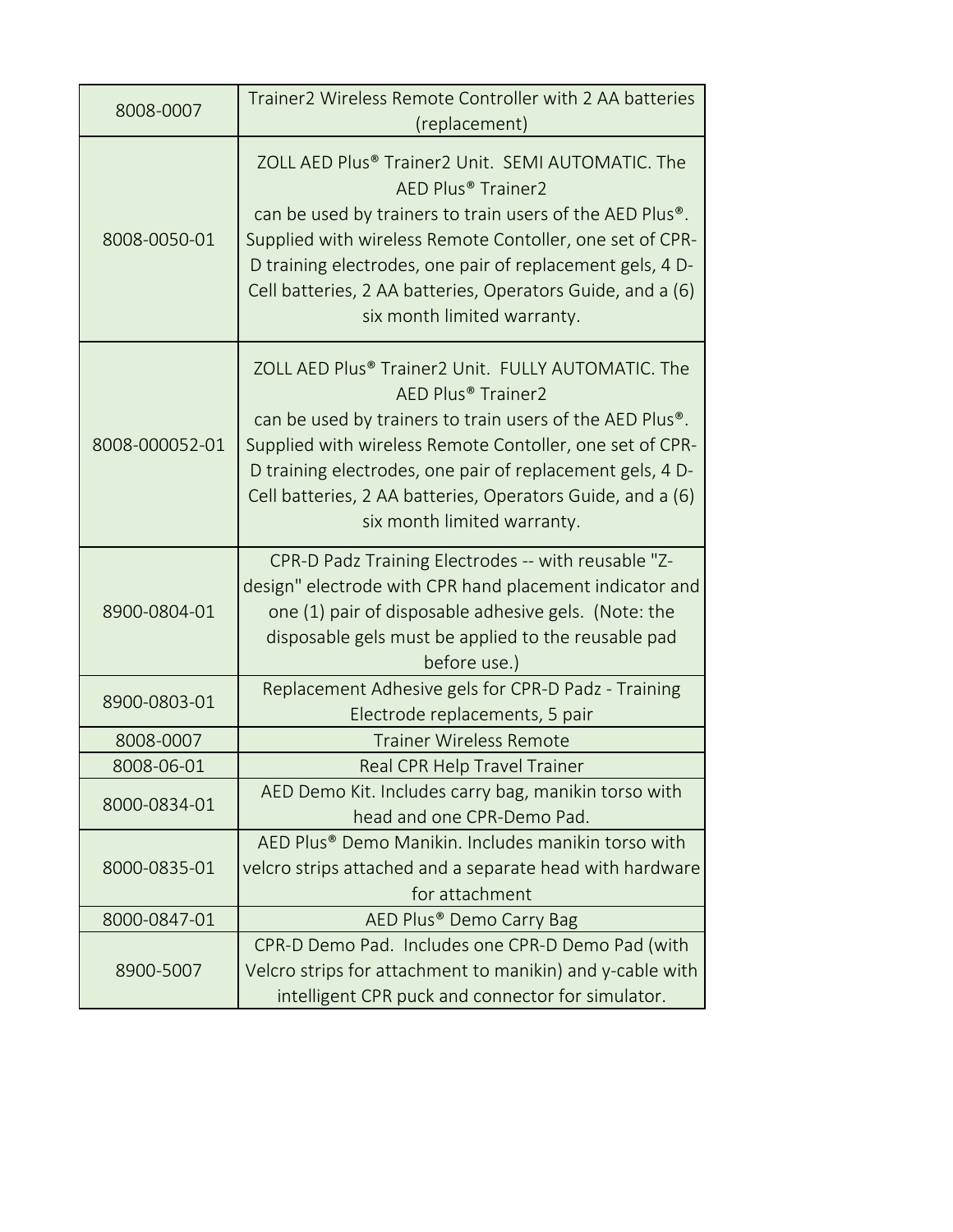| 8008-0007      | Trainer2 Wireless Remote Controller with 2 AA batteries                                                                                                                                                                                                                                                                                                                             |
|----------------|-------------------------------------------------------------------------------------------------------------------------------------------------------------------------------------------------------------------------------------------------------------------------------------------------------------------------------------------------------------------------------------|
|                | (replacement)                                                                                                                                                                                                                                                                                                                                                                       |
| 8008-0050-01   | ZOLL AED Plus® Trainer2 Unit. SEMI AUTOMATIC. The<br>AED Plus <sup>®</sup> Trainer2<br>can be used by trainers to train users of the AED Plus <sup>®</sup> .<br>Supplied with wireless Remote Contoller, one set of CPR-<br>D training electrodes, one pair of replacement gels, 4 D-<br>Cell batteries, 2 AA batteries, Operators Guide, and a (6)<br>six month limited warranty.  |
| 8008-000052-01 | ZOLL AED Plus® Trainer2 Unit. FULLY AUTOMATIC. The<br>AED Plus <sup>®</sup> Trainer2<br>can be used by trainers to train users of the AED Plus <sup>®</sup> .<br>Supplied with wireless Remote Contoller, one set of CPR-<br>D training electrodes, one pair of replacement gels, 4 D-<br>Cell batteries, 2 AA batteries, Operators Guide, and a (6)<br>six month limited warranty. |
| 8900-0804-01   | CPR-D Padz Training Electrodes -- with reusable "Z-<br>design" electrode with CPR hand placement indicator and<br>one (1) pair of disposable adhesive gels. (Note: the<br>disposable gels must be applied to the reusable pad<br>before use.)                                                                                                                                       |
| 8900-0803-01   | Replacement Adhesive gels for CPR-D Padz - Training<br>Electrode replacements, 5 pair                                                                                                                                                                                                                                                                                               |
| 8008-0007      | <b>Trainer Wireless Remote</b>                                                                                                                                                                                                                                                                                                                                                      |
| 8008-06-01     | Real CPR Help Travel Trainer                                                                                                                                                                                                                                                                                                                                                        |
| 8000-0834-01   | AED Demo Kit. Includes carry bag, manikin torso with<br>head and one CPR-Demo Pad.                                                                                                                                                                                                                                                                                                  |
| 8000-0835-01   | AED Plus® Demo Manikin. Includes manikin torso with<br>velcro strips attached and a separate head with hardware<br>for attachment                                                                                                                                                                                                                                                   |
| 8000-0847-01   | AED Plus® Demo Carry Bag                                                                                                                                                                                                                                                                                                                                                            |
| 8900-5007      | CPR-D Demo Pad. Includes one CPR-D Demo Pad (with<br>Velcro strips for attachment to manikin) and y-cable with<br>intelligent CPR puck and connector for simulator.                                                                                                                                                                                                                 |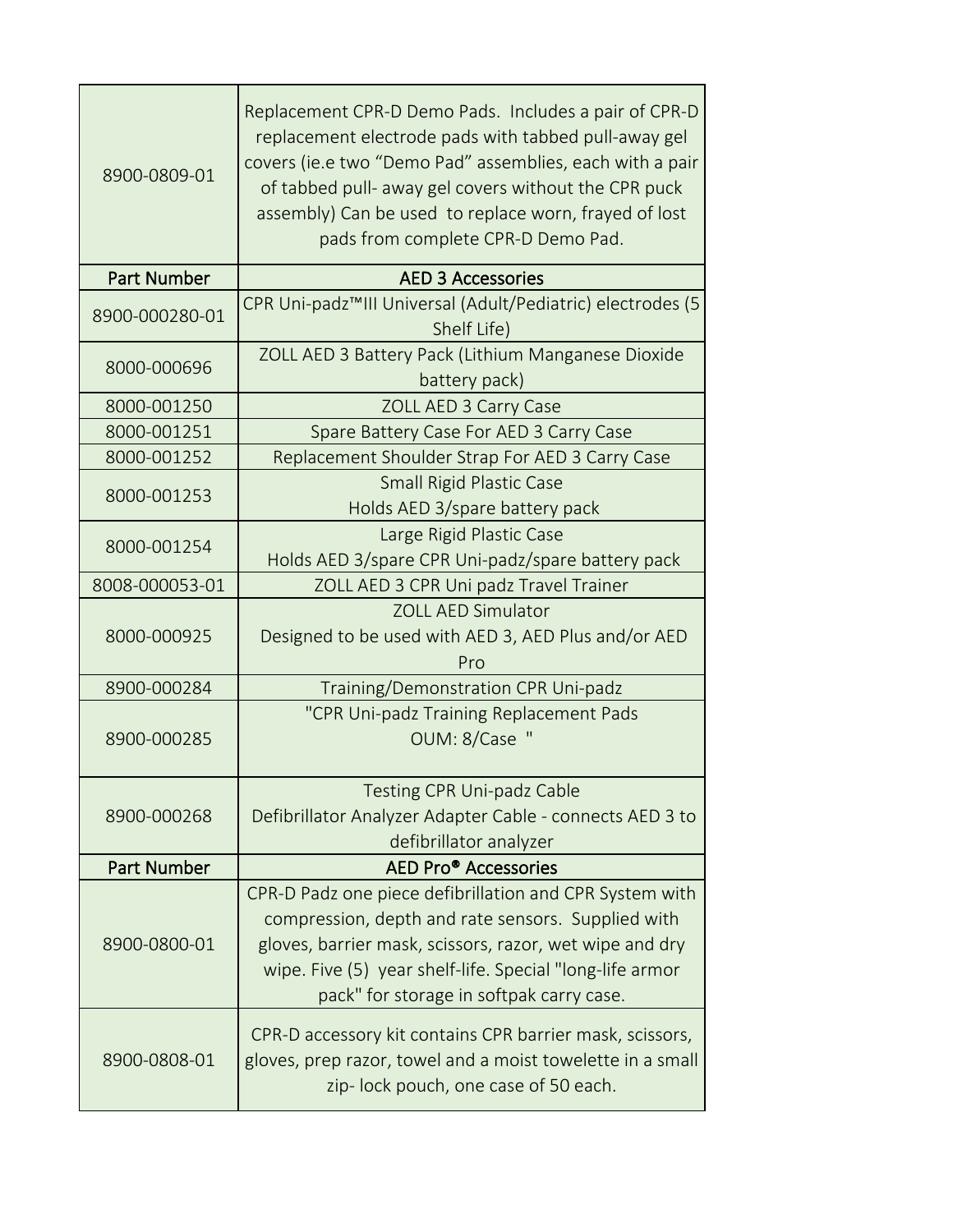| 8900-0809-01       | Replacement CPR-D Demo Pads. Includes a pair of CPR-D<br>replacement electrode pads with tabbed pull-away gel<br>covers (ie.e two "Demo Pad" assemblies, each with a pair<br>of tabbed pull- away gel covers without the CPR puck<br>assembly) Can be used to replace worn, frayed of lost<br>pads from complete CPR-D Demo Pad. |
|--------------------|----------------------------------------------------------------------------------------------------------------------------------------------------------------------------------------------------------------------------------------------------------------------------------------------------------------------------------|
| <b>Part Number</b> | <b>AED 3 Accessories</b>                                                                                                                                                                                                                                                                                                         |
| 8900-000280-01     | CPR Uni-padz™III Universal (Adult/Pediatric) electrodes (5<br>Shelf Life)                                                                                                                                                                                                                                                        |
| 8000-000696        | ZOLL AED 3 Battery Pack (Lithium Manganese Dioxide<br>battery pack)                                                                                                                                                                                                                                                              |
| 8000-001250        | ZOLL AED 3 Carry Case                                                                                                                                                                                                                                                                                                            |
| 8000-001251        | Spare Battery Case For AED 3 Carry Case                                                                                                                                                                                                                                                                                          |
| 8000-001252        | Replacement Shoulder Strap For AED 3 Carry Case                                                                                                                                                                                                                                                                                  |
| 8000-001253        | <b>Small Rigid Plastic Case</b><br>Holds AED 3/spare battery pack                                                                                                                                                                                                                                                                |
|                    | Large Rigid Plastic Case                                                                                                                                                                                                                                                                                                         |
| 8000-001254        | Holds AED 3/spare CPR Uni-padz/spare battery pack                                                                                                                                                                                                                                                                                |
| 8008-000053-01     | ZOLL AED 3 CPR Uni padz Travel Trainer                                                                                                                                                                                                                                                                                           |
| 8000-000925        | <b>ZOLL AED Simulator</b><br>Designed to be used with AED 3, AED Plus and/or AED<br>Pro                                                                                                                                                                                                                                          |
| 8900-000284        | Training/Demonstration CPR Uni-padz                                                                                                                                                                                                                                                                                              |
| 8900-000285        | "CPR Uni-padz Training Replacement Pads<br>OUM: 8/Case "                                                                                                                                                                                                                                                                         |
| 8900-000268        | Testing CPR Uni-padz Cable<br>Defibrillator Analyzer Adapter Cable - connects AED 3 to<br>defibrillator analyzer                                                                                                                                                                                                                 |
| <b>Part Number</b> | <b>AED Pro® Accessories</b>                                                                                                                                                                                                                                                                                                      |
| 8900-0800-01       | CPR-D Padz one piece defibrillation and CPR System with<br>compression, depth and rate sensors. Supplied with<br>gloves, barrier mask, scissors, razor, wet wipe and dry<br>wipe. Five (5) year shelf-life. Special "long-life armor<br>pack" for storage in softpak carry case.                                                 |
| 8900-0808-01       | CPR-D accessory kit contains CPR barrier mask, scissors,<br>gloves, prep razor, towel and a moist towelette in a small<br>zip-lock pouch, one case of 50 each.                                                                                                                                                                   |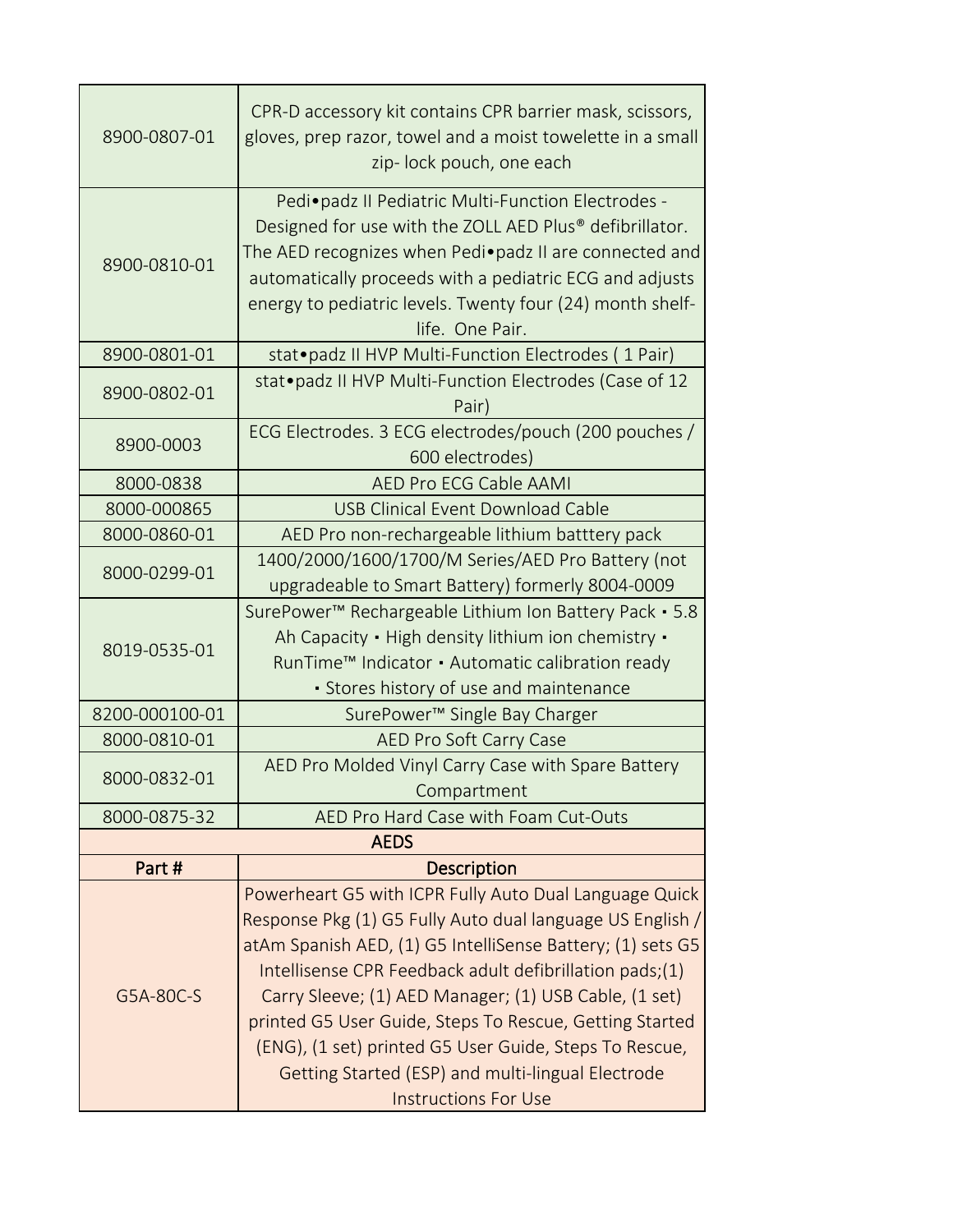| 8900-0807-01   | CPR-D accessory kit contains CPR barrier mask, scissors,<br>gloves, prep razor, towel and a moist towelette in a small<br>zip-lock pouch, one each                                                                                                                                                                                                                                                                                                                              |
|----------------|---------------------------------------------------------------------------------------------------------------------------------------------------------------------------------------------------------------------------------------------------------------------------------------------------------------------------------------------------------------------------------------------------------------------------------------------------------------------------------|
| 8900-0810-01   | Pediopadz II Pediatric Multi-Function Electrodes -<br>Designed for use with the ZOLL AED Plus <sup>®</sup> defibrillator.<br>The AED recognizes when Pedi•padz II are connected and<br>automatically proceeds with a pediatric ECG and adjusts<br>energy to pediatric levels. Twenty four (24) month shelf-<br>life. One Pair.                                                                                                                                                  |
| 8900-0801-01   | stat • padz II HVP Multi-Function Electrodes (1 Pair)                                                                                                                                                                                                                                                                                                                                                                                                                           |
| 8900-0802-01   | stat · padz II HVP Multi-Function Electrodes (Case of 12<br>Pair)                                                                                                                                                                                                                                                                                                                                                                                                               |
| 8900-0003      | ECG Electrodes. 3 ECG electrodes/pouch (200 pouches /<br>600 electrodes)                                                                                                                                                                                                                                                                                                                                                                                                        |
| 8000-0838      | AED Pro ECG Cable AAMI                                                                                                                                                                                                                                                                                                                                                                                                                                                          |
| 8000-000865    | <b>USB Clinical Event Download Cable</b>                                                                                                                                                                                                                                                                                                                                                                                                                                        |
| 8000-0860-01   | AED Pro non-rechargeable lithium batttery pack                                                                                                                                                                                                                                                                                                                                                                                                                                  |
| 8000-0299-01   | 1400/2000/1600/1700/M Series/AED Pro Battery (not<br>upgradeable to Smart Battery) formerly 8004-0009                                                                                                                                                                                                                                                                                                                                                                           |
| 8019-0535-01   | SurePower <sup>™</sup> Rechargeable Lithium Ion Battery Pack • 5.8<br>Ah Capacity . High density lithium ion chemistry .<br>RunTime™ Indicator • Automatic calibration ready<br>• Stores history of use and maintenance                                                                                                                                                                                                                                                         |
| 8200-000100-01 | SurePower <sup>™</sup> Single Bay Charger                                                                                                                                                                                                                                                                                                                                                                                                                                       |
| 8000-0810-01   | AED Pro Soft Carry Case                                                                                                                                                                                                                                                                                                                                                                                                                                                         |
| 8000-0832-01   | AED Pro Molded Vinyl Carry Case with Spare Battery<br>Compartment                                                                                                                                                                                                                                                                                                                                                                                                               |
| 8000-0875-32   | AED Pro Hard Case with Foam Cut-Outs                                                                                                                                                                                                                                                                                                                                                                                                                                            |
|                | <b>AEDS</b>                                                                                                                                                                                                                                                                                                                                                                                                                                                                     |
| Part #         | Description                                                                                                                                                                                                                                                                                                                                                                                                                                                                     |
| G5A-80C-S      | Powerheart G5 with ICPR Fully Auto Dual Language Quick<br>Response Pkg (1) G5 Fully Auto dual language US English /<br>atAm Spanish AED, (1) G5 IntelliSense Battery; (1) sets G5<br>Intellisense CPR Feedback adult defibrillation pads;(1)<br>Carry Sleeve; (1) AED Manager; (1) USB Cable, (1 set)<br>printed G5 User Guide, Steps To Rescue, Getting Started<br>(ENG), (1 set) printed G5 User Guide, Steps To Rescue,<br>Getting Started (ESP) and multi-lingual Electrode |
|                | <b>Instructions For Use</b>                                                                                                                                                                                                                                                                                                                                                                                                                                                     |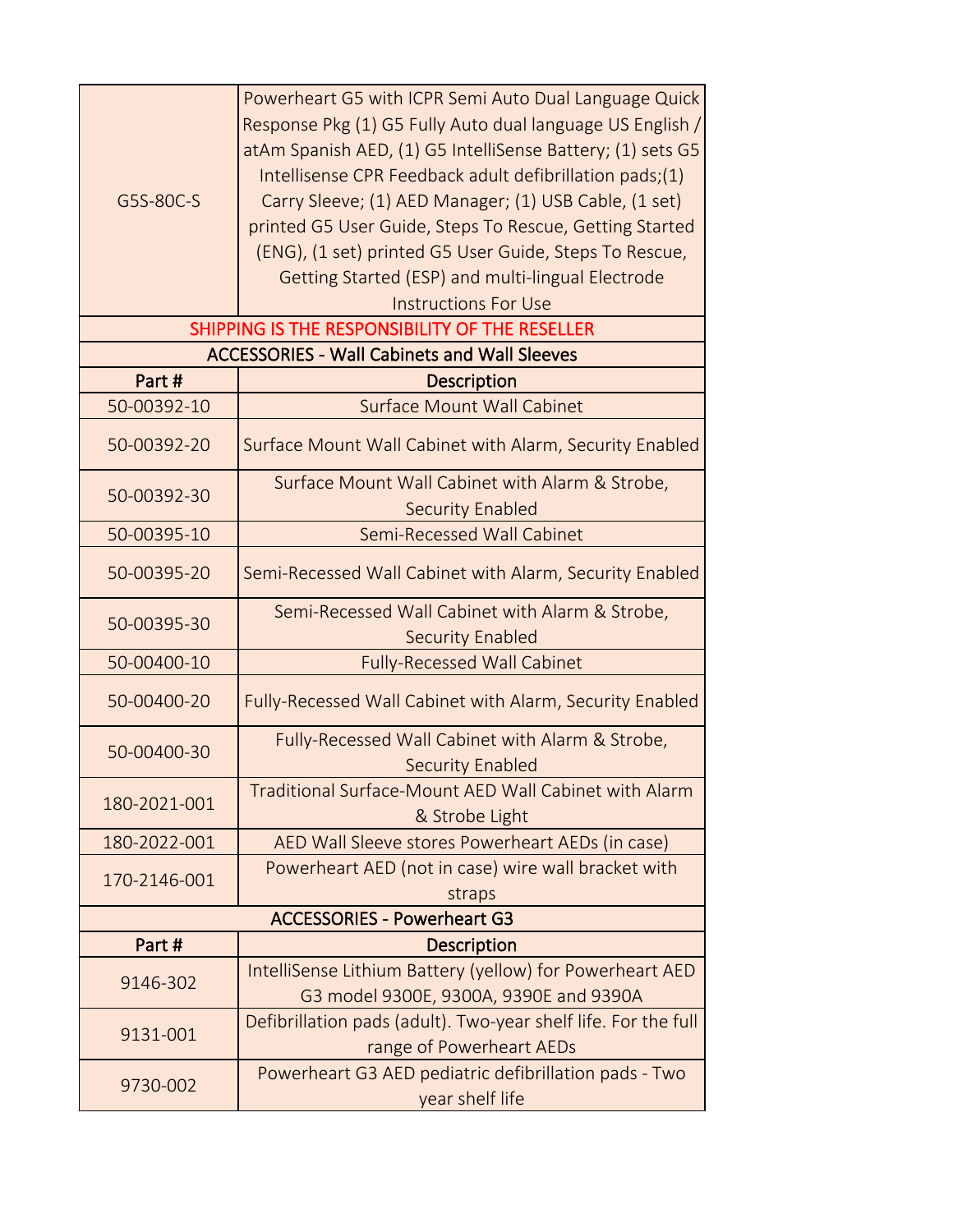| G5S-80C-S                                           | Powerheart G5 with ICPR Semi Auto Dual Language Quick          |
|-----------------------------------------------------|----------------------------------------------------------------|
|                                                     | Response Pkg (1) G5 Fully Auto dual language US English /      |
|                                                     | atAm Spanish AED, (1) G5 IntelliSense Battery; (1) sets G5     |
|                                                     | Intellisense CPR Feedback adult defibrillation pads;(1)        |
|                                                     | Carry Sleeve; (1) AED Manager; (1) USB Cable, (1 set)          |
|                                                     | printed G5 User Guide, Steps To Rescue, Getting Started        |
|                                                     | (ENG), (1 set) printed G5 User Guide, Steps To Rescue,         |
|                                                     | Getting Started (ESP) and multi-lingual Electrode              |
|                                                     | <b>Instructions For Use</b>                                    |
|                                                     | SHIPPING IS THE RESPONSIBILITY OF THE RESELLER                 |
| <b>ACCESSORIES - Wall Cabinets and Wall Sleeves</b> |                                                                |
| Part #                                              | <b>Description</b>                                             |
| 50-00392-10                                         | <b>Surface Mount Wall Cabinet</b>                              |
| 50-00392-20                                         | Surface Mount Wall Cabinet with Alarm, Security Enabled        |
|                                                     | Surface Mount Wall Cabinet with Alarm & Strobe,                |
| 50-00392-30                                         | <b>Security Enabled</b>                                        |
| 50-00395-10                                         | Semi-Recessed Wall Cabinet                                     |
| 50-00395-20                                         | Semi-Recessed Wall Cabinet with Alarm, Security Enabled        |
|                                                     | Semi-Recessed Wall Cabinet with Alarm & Strobe,                |
| 50-00395-30                                         | <b>Security Enabled</b>                                        |
| 50-00400-10                                         | <b>Fully-Recessed Wall Cabinet</b>                             |
|                                                     |                                                                |
| 50-00400-20                                         | Fully-Recessed Wall Cabinet with Alarm, Security Enabled       |
| 50-00400-30                                         | Fully-Recessed Wall Cabinet with Alarm & Strobe,               |
|                                                     | <b>Security Enabled</b>                                        |
| 180-2021-001                                        | Traditional Surface-Mount AED Wall Cabinet with Alarm          |
|                                                     | & Strobe Light                                                 |
| 180-2022-001                                        | AED Wall Sleeve stores Powerheart AEDs (in case)               |
| 170-2146-001                                        | Powerheart AED (not in case) wire wall bracket with            |
|                                                     | straps                                                         |
|                                                     | <b>ACCESSORIES - Powerheart G3</b>                             |
| Part #                                              | <b>Description</b>                                             |
| 9146-302                                            | IntelliSense Lithium Battery (yellow) for Powerheart AED       |
|                                                     | G3 model 9300E, 9300A, 9390E and 9390A                         |
| 9131-001                                            | Defibrillation pads (adult). Two-year shelf life. For the full |
|                                                     | range of Powerheart AEDs                                       |
| 9730-002                                            | Powerheart G3 AED pediatric defibrillation pads - Two          |
|                                                     | year shelf life                                                |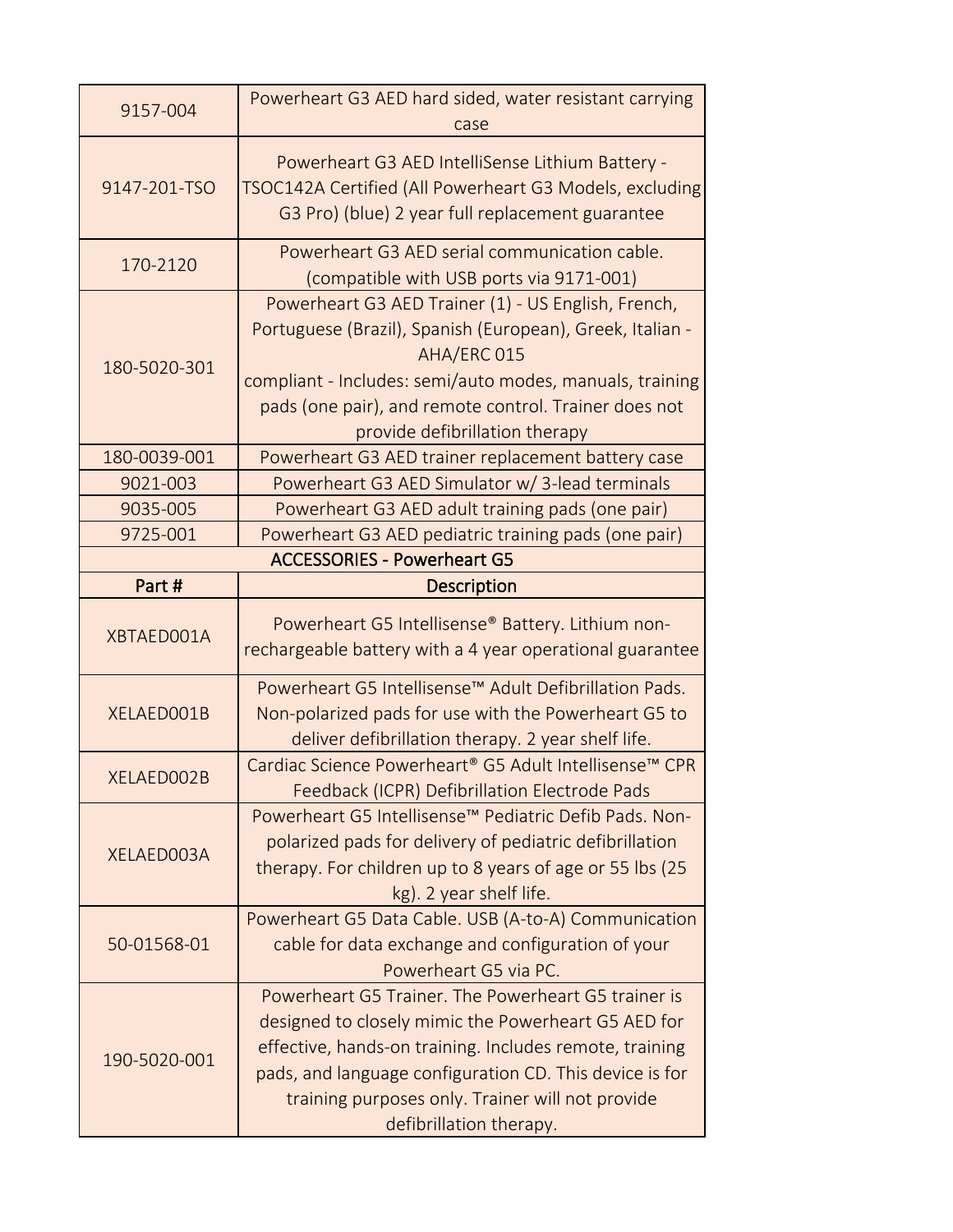| 9157-004     | Powerheart G3 AED hard sided, water resistant carrying<br>case                                                                                                                                                                                                                         |
|--------------|----------------------------------------------------------------------------------------------------------------------------------------------------------------------------------------------------------------------------------------------------------------------------------------|
| 9147-201-TSO | Powerheart G3 AED IntelliSense Lithium Battery -<br>TSOC142A Certified (All Powerheart G3 Models, excluding<br>G3 Pro) (blue) 2 year full replacement guarantee                                                                                                                        |
| 170-2120     | Powerheart G3 AED serial communication cable.<br>(compatible with USB ports via 9171-001)                                                                                                                                                                                              |
| 180-5020-301 | Powerheart G3 AED Trainer (1) - US English, French,<br>Portuguese (Brazil), Spanish (European), Greek, Italian -<br>AHA/ERC 015<br>compliant - Includes: semi/auto modes, manuals, training<br>pads (one pair), and remote control. Trainer does not<br>provide defibrillation therapy |
| 180-0039-001 | Powerheart G3 AED trainer replacement battery case                                                                                                                                                                                                                                     |
| 9021-003     | Powerheart G3 AED Simulator w/ 3-lead terminals                                                                                                                                                                                                                                        |
| 9035-005     | Powerheart G3 AED adult training pads (one pair)                                                                                                                                                                                                                                       |
| 9725-001     | Powerheart G3 AED pediatric training pads (one pair)                                                                                                                                                                                                                                   |
|              | <b>ACCESSORIES - Powerheart G5</b>                                                                                                                                                                                                                                                     |
| Part #       | Description                                                                                                                                                                                                                                                                            |
| XBTAED001A   | Powerheart G5 Intellisense® Battery. Lithium non-                                                                                                                                                                                                                                      |
|              | rechargeable battery with a 4 year operational guarantee                                                                                                                                                                                                                               |
| XELAED001B   | Powerheart G5 Intellisense™ Adult Defibrillation Pads.<br>Non-polarized pads for use with the Powerheart G5 to<br>deliver defibrillation therapy. 2 year shelf life.                                                                                                                   |
| XELAED002B   | Cardiac Science Powerheart® G5 Adult Intellisense™ CPR<br>Feedback (ICPR) Defibrillation Electrode Pads                                                                                                                                                                                |
| XELAED003A   | Powerheart G5 Intellisense™ Pediatric Defib Pads. Non-<br>polarized pads for delivery of pediatric defibrillation<br>therapy. For children up to 8 years of age or 55 lbs (25)<br>kg). 2 year shelf life.                                                                              |
| 50-01568-01  | Powerheart G5 Data Cable. USB (A-to-A) Communication<br>cable for data exchange and configuration of your<br>Powerheart G5 via PC.                                                                                                                                                     |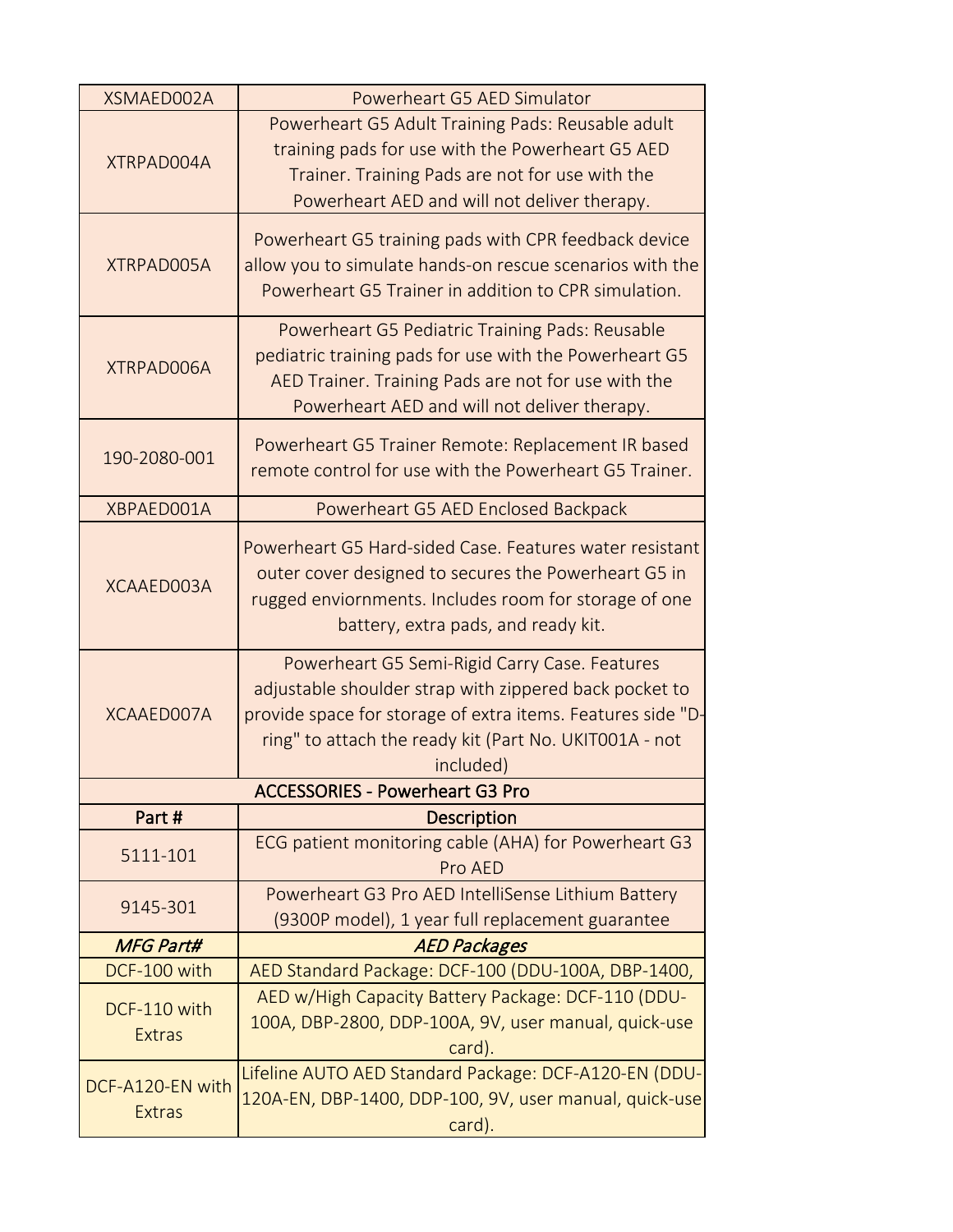| XSMAED002A                        | Powerheart G5 AED Simulator                                                                                                                                                                                                                   |
|-----------------------------------|-----------------------------------------------------------------------------------------------------------------------------------------------------------------------------------------------------------------------------------------------|
| XTRPAD004A                        | Powerheart G5 Adult Training Pads: Reusable adult<br>training pads for use with the Powerheart G5 AED<br>Trainer. Training Pads are not for use with the<br>Powerheart AED and will not deliver therapy.                                      |
| XTRPAD005A                        | Powerheart G5 training pads with CPR feedback device<br>allow you to simulate hands-on rescue scenarios with the<br>Powerheart G5 Trainer in addition to CPR simulation.                                                                      |
| XTRPAD006A                        | Powerheart G5 Pediatric Training Pads: Reusable<br>pediatric training pads for use with the Powerheart G5<br>AED Trainer. Training Pads are not for use with the<br>Powerheart AED and will not deliver therapy.                              |
| 190-2080-001                      | Powerheart G5 Trainer Remote: Replacement IR based<br>remote control for use with the Powerheart G5 Trainer.                                                                                                                                  |
| XBPAED001A                        | Powerheart G5 AED Enclosed Backpack                                                                                                                                                                                                           |
| XCAAED003A                        | Powerheart G5 Hard-sided Case. Features water resistant<br>outer cover designed to secures the Powerheart G5 in<br>rugged enviornments. Includes room for storage of one<br>battery, extra pads, and ready kit.                               |
| XCAAED007A                        | Powerheart G5 Semi-Rigid Carry Case. Features<br>adjustable shoulder strap with zippered back pocket to<br>provide space for storage of extra items. Features side "D-<br>ring" to attach the ready kit (Part No. UKIT001A - not<br>included) |
|                                   | <b>ACCESSORIES - Powerheart G3 Pro</b>                                                                                                                                                                                                        |
| Part #                            | Description                                                                                                                                                                                                                                   |
| 5111-101                          | ECG patient monitoring cable (AHA) for Powerheart G3<br>Pro AED                                                                                                                                                                               |
| 9145-301                          | Powerheart G3 Pro AED IntelliSense Lithium Battery<br>(9300P model), 1 year full replacement guarantee                                                                                                                                        |
| <b>MFG Part#</b>                  | <b>AED Packages</b>                                                                                                                                                                                                                           |
| DCF-100 with                      | AED Standard Package: DCF-100 (DDU-100A, DBP-1400,                                                                                                                                                                                            |
| DCF-110 with<br><b>Extras</b>     | AED w/High Capacity Battery Package: DCF-110 (DDU-<br>100A, DBP-2800, DDP-100A, 9V, user manual, quick-use<br>card).                                                                                                                          |
| DCF-A120-EN with<br><b>Extras</b> | Lifeline AUTO AED Standard Package: DCF-A120-EN (DDU-<br>120A-EN, DBP-1400, DDP-100, 9V, user manual, quick-use<br>card).                                                                                                                     |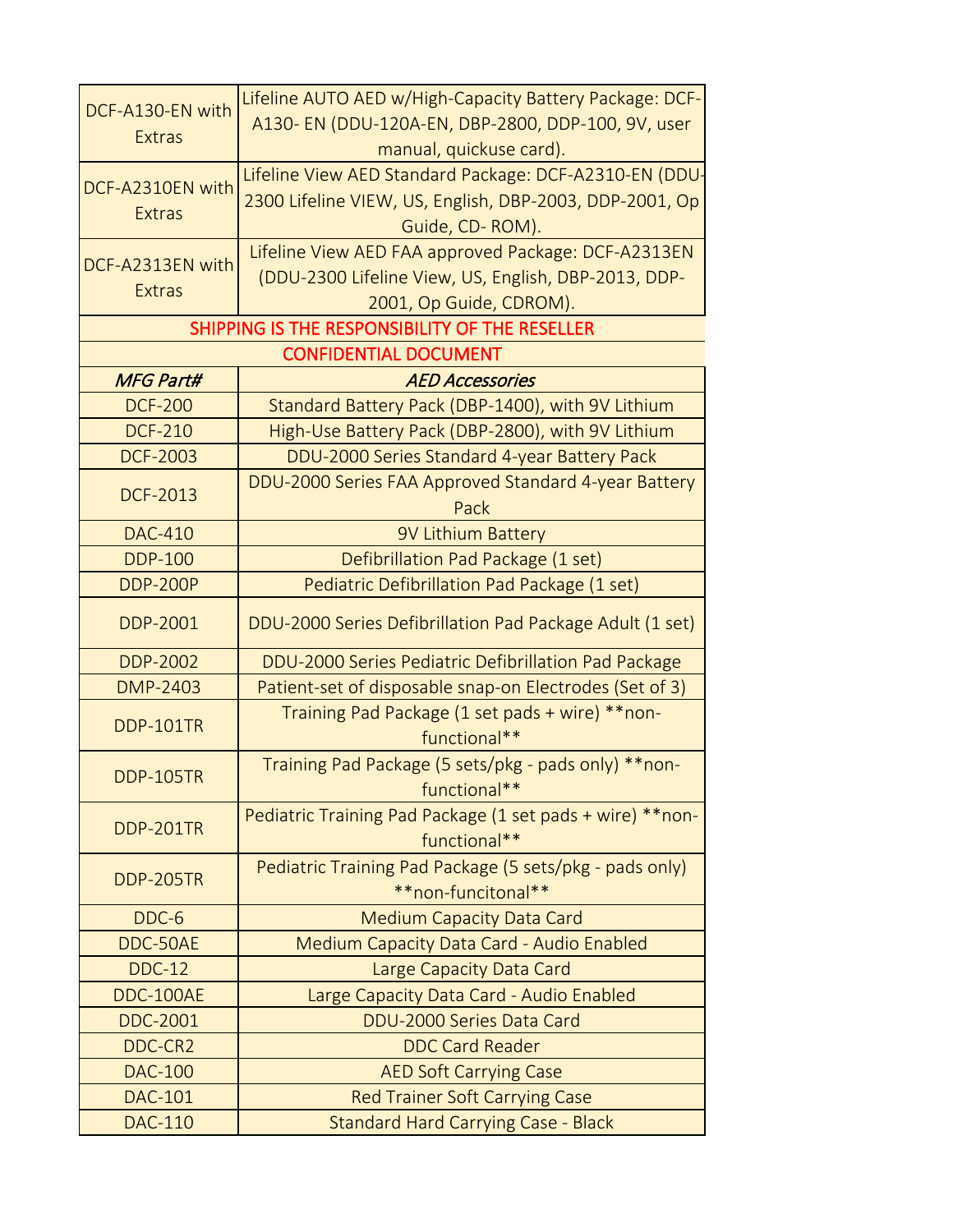|                                   | Lifeline AUTO AED w/High-Capacity Battery Package: DCF-                       |
|-----------------------------------|-------------------------------------------------------------------------------|
| DCF-A130-EN with<br><b>Extras</b> | A130- EN (DDU-120A-EN, DBP-2800, DDP-100, 9V, user                            |
|                                   | manual, quickuse card).                                                       |
|                                   | Lifeline View AED Standard Package: DCF-A2310-EN (DDU-                        |
| DCF-A2310EN with                  | 2300 Lifeline VIEW, US, English, DBP-2003, DDP-2001, Op                       |
| <b>Extras</b>                     | Guide, CD-ROM).                                                               |
|                                   | Lifeline View AED FAA approved Package: DCF-A2313EN                           |
| DCF-A2313EN with                  | (DDU-2300 Lifeline View, US, English, DBP-2013, DDP-                          |
| <b>Extras</b>                     | 2001, Op Guide, CDROM).                                                       |
|                                   | SHIPPING IS THE RESPONSIBILITY OF THE RESELLER                                |
| <b>CONFIDENTIAL DOCUMENT</b>      |                                                                               |
| <b>MFG Part#</b>                  | <b>AED Accessories</b>                                                        |
| <b>DCF-200</b>                    | Standard Battery Pack (DBP-1400), with 9V Lithium                             |
| <b>DCF-210</b>                    | High-Use Battery Pack (DBP-2800), with 9V Lithium                             |
| <b>DCF-2003</b>                   | DDU-2000 Series Standard 4-year Battery Pack                                  |
|                                   | DDU-2000 Series FAA Approved Standard 4-year Battery                          |
| <b>DCF-2013</b>                   | Pack                                                                          |
| <b>DAC-410</b>                    | 9V Lithium Battery                                                            |
| <b>DDP-100</b>                    | Defibrillation Pad Package (1 set)                                            |
| <b>DDP-200P</b>                   | Pediatric Defibrillation Pad Package (1 set)                                  |
| <b>DDP-2001</b>                   | DDU-2000 Series Defibrillation Pad Package Adult (1 set)                      |
| DDP-2002                          | DDU-2000 Series Pediatric Defibrillation Pad Package                          |
| DMP-2403                          | Patient-set of disposable snap-on Electrodes (Set of 3)                       |
| DDP-101TR                         | Training Pad Package (1 set pads + wire) ** non-<br>functional**              |
| <b>DDP-105TR</b>                  | Training Pad Package (5 sets/pkg - pads only) ** non-<br>functional**         |
| DDP-201TR                         | Pediatric Training Pad Package (1 set pads + wire) ** non-<br>functional**    |
| DDP-205TR                         | Pediatric Training Pad Package (5 sets/pkg - pads only)<br>**non-funcitonal** |
| DDC-6                             | <b>Medium Capacity Data Card</b>                                              |
| DDC-50AE                          | Medium Capacity Data Card - Audio Enabled                                     |
| <b>DDC-12</b>                     | Large Capacity Data Card                                                      |
| DDC-100AE                         | Large Capacity Data Card - Audio Enabled                                      |
| <b>DDC-2001</b>                   | DDU-2000 Series Data Card                                                     |
| DDC-CR2                           | <b>DDC Card Reader</b>                                                        |
| <b>DAC-100</b>                    | <b>AED Soft Carrying Case</b>                                                 |
| <b>DAC-101</b>                    | <b>Red Trainer Soft Carrying Case</b>                                         |
| <b>DAC-110</b>                    | Standard Hard Carrying Case - Black                                           |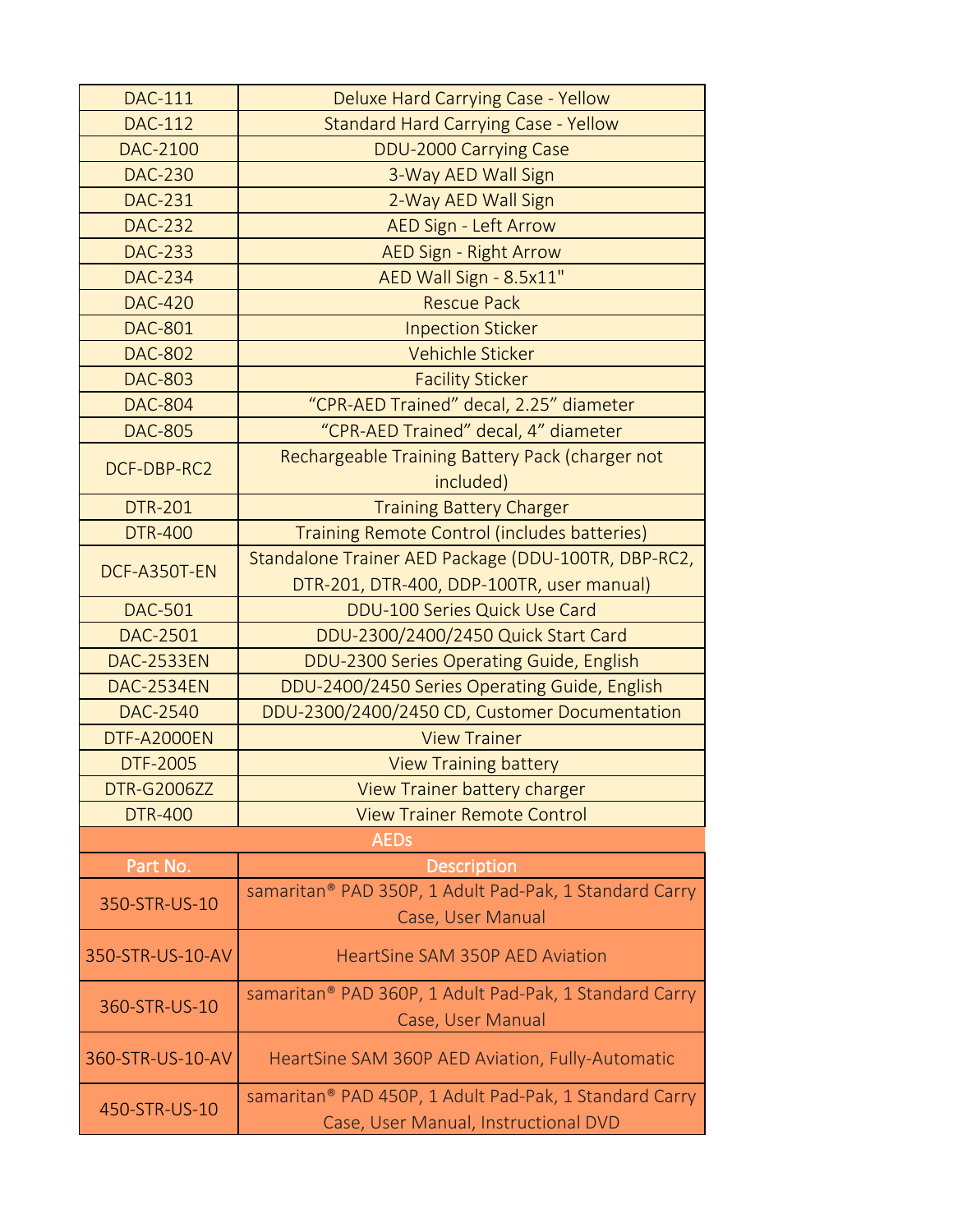| <b>DAC-111</b>     | Deluxe Hard Carrying Case - Yellow                                                             |
|--------------------|------------------------------------------------------------------------------------------------|
| <b>DAC-112</b>     | <b>Standard Hard Carrying Case - Yellow</b>                                                    |
| DAC-2100           | DDU-2000 Carrying Case                                                                         |
| <b>DAC-230</b>     | 3-Way AED Wall Sign                                                                            |
| <b>DAC-231</b>     | 2-Way AED Wall Sign                                                                            |
| <b>DAC-232</b>     | AED Sign - Left Arrow                                                                          |
| <b>DAC-233</b>     | <b>AED Sign - Right Arrow</b>                                                                  |
| <b>DAC-234</b>     | AED Wall Sign - 8.5x11"                                                                        |
| <b>DAC-420</b>     | <b>Rescue Pack</b>                                                                             |
| <b>DAC-801</b>     | <b>Inpection Sticker</b>                                                                       |
| <b>DAC-802</b>     | Vehichle Sticker                                                                               |
| <b>DAC-803</b>     | <b>Facility Sticker</b>                                                                        |
| <b>DAC-804</b>     | "CPR-AED Trained" decal, 2.25" diameter                                                        |
| <b>DAC-805</b>     | "CPR-AED Trained" decal, 4" diameter                                                           |
| DCF-DBP-RC2        | Rechargeable Training Battery Pack (charger not                                                |
|                    | included)                                                                                      |
| <b>DTR-201</b>     | <b>Training Battery Charger</b>                                                                |
| <b>DTR-400</b>     | Training Remote Control (includes batteries)                                                   |
| DCF-A350T-EN       | Standalone Trainer AED Package (DDU-100TR, DBP-RC2,                                            |
|                    | DTR-201, DTR-400, DDP-100TR, user manual)                                                      |
| <b>DAC-501</b>     | DDU-100 Series Quick Use Card                                                                  |
| DAC-2501           | DDU-2300/2400/2450 Quick Start Card                                                            |
| <b>DAC-2533EN</b>  | DDU-2300 Series Operating Guide, English                                                       |
| <b>DAC-2534EN</b>  | DDU-2400/2450 Series Operating Guide, English                                                  |
| DAC-2540           | DDU-2300/2400/2450 CD, Customer Documentation                                                  |
| DTF-A2000EN        | <b>View Trainer</b>                                                                            |
| DTF-2005           | <b>View Training battery</b>                                                                   |
| <b>DTR-G2006ZZ</b> | View Trainer battery charger                                                                   |
| <b>DTR-400</b>     | <b>View Trainer Remote Control</b>                                                             |
|                    | <b>AEDs</b>                                                                                    |
| Part No.           | Description                                                                                    |
| 350-STR-US-10      | samaritan® PAD 350P, 1 Adult Pad-Pak, 1 Standard Carry                                         |
|                    | Case, User Manual                                                                              |
| 350-STR-US-10-AV   | <b>HeartSine SAM 350P AED Aviation</b>                                                         |
| 360-STR-US-10      | samaritan® PAD 360P, 1 Adult Pad-Pak, 1 Standard Carry                                         |
|                    | Case, User Manual                                                                              |
| 360-STR-US-10-AV   | HeartSine SAM 360P AED Aviation, Fully-Automatic                                               |
| 450-STR-US-10      | samaritan® PAD 450P, 1 Adult Pad-Pak, 1 Standard Carry<br>Case, User Manual, Instructional DVD |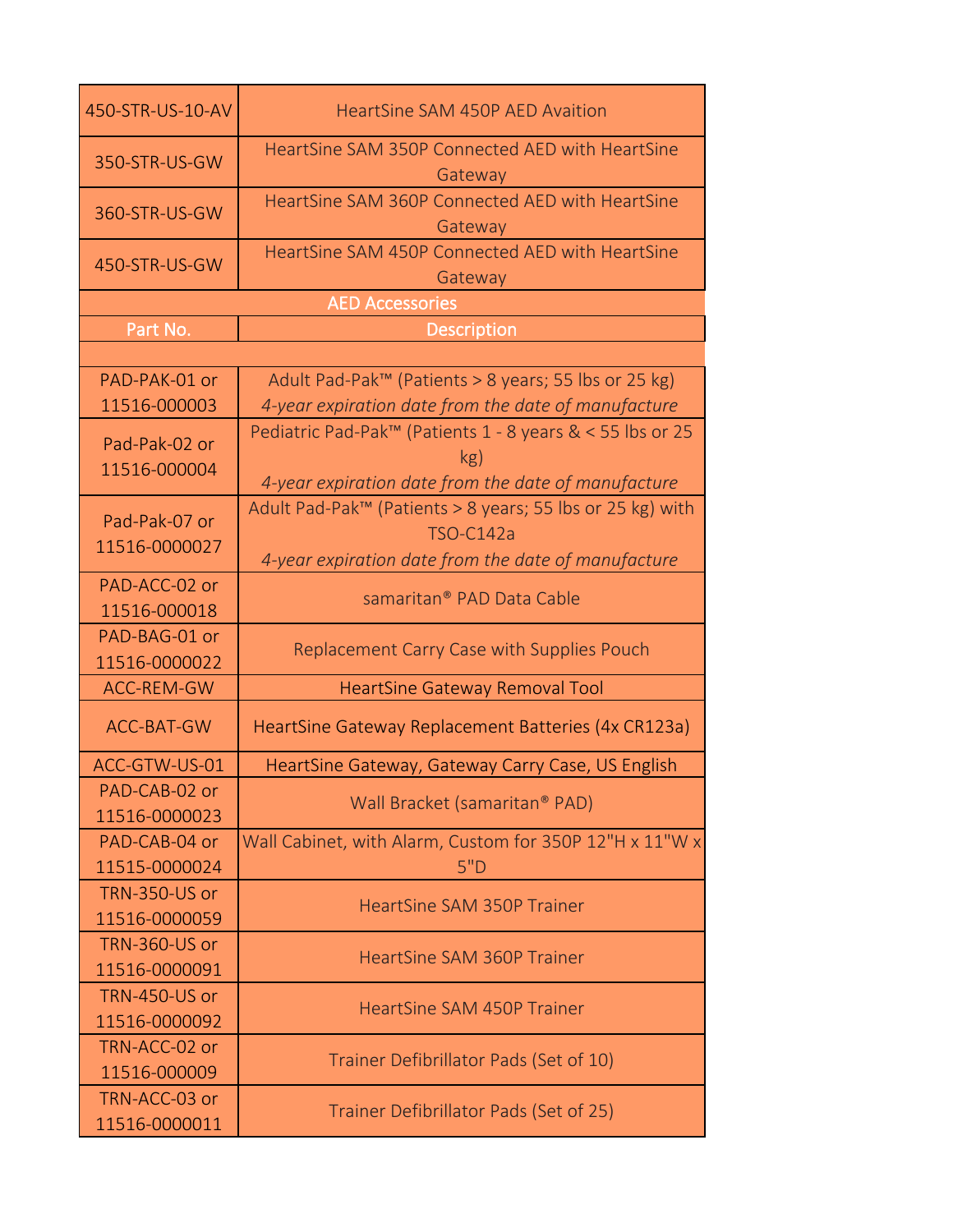| 450-STR-US-10-AV               | <b>HeartSine SAM 450P AED Avaition</b>                           |
|--------------------------------|------------------------------------------------------------------|
| 350-STR-US-GW                  | HeartSine SAM 350P Connected AED with HeartSine<br>Gateway       |
| 360-STR-US-GW                  | HeartSine SAM 360P Connected AED with HeartSine<br>Gateway       |
| 450-STR-US-GW                  | HeartSine SAM 450P Connected AED with HeartSine<br>Gateway       |
|                                | <b>AED Accessories</b>                                           |
| Part No.                       | <b>Description</b>                                               |
|                                |                                                                  |
| PAD-PAK-01 or                  | Adult Pad-Pak <sup>™</sup> (Patients > 8 years; 55 lbs or 25 kg) |
| 11516-000003                   | 4-year expiration date from the date of manufacture              |
| Pad-Pak-02 or<br>11516-000004  | Pediatric Pad-Pak™ (Patients 1 - 8 years & < 55 lbs or 25<br>kg) |
|                                | 4-year expiration date from the date of manufacture              |
| Pad-Pak-07 or                  | Adult Pad-Pak™ (Patients > 8 years; 55 lbs or 25 kg) with        |
| 11516-0000027                  | <b>TSO-C142a</b>                                                 |
| PAD-ACC-02 or                  | 4-year expiration date from the date of manufacture              |
| 11516-000018                   | samaritan <sup>®</sup> PAD Data Cable                            |
| PAD-BAG-01 or                  |                                                                  |
| 11516-0000022                  | Replacement Carry Case with Supplies Pouch                       |
| ACC-REM-GW                     | HeartSine Gateway Removal Tool                                   |
| ACC-BAT-GW                     | HeartSine Gateway Replacement Batteries (4x CR123a)              |
| ACC-GTW-US-01                  | HeartSine Gateway, Gateway Carry Case, US English                |
| PAD-CAB-02 or                  |                                                                  |
| 11516-0000023                  | Wall Bracket (samaritan® PAD)                                    |
| PAD-CAB-04 or                  | Wall Cabinet, with Alarm, Custom for 350P 12"H x 11"W x          |
| 11515-0000024                  | 5"D                                                              |
| TRN-350-US or                  | <b>HeartSine SAM 350P Trainer</b>                                |
| 11516-0000059                  |                                                                  |
| <b>TRN-360-US or</b>           | <b>HeartSine SAM 360P Trainer</b>                                |
| 11516-0000091                  |                                                                  |
| TRN-450-US or                  | <b>HeartSine SAM 450P Trainer</b>                                |
| 11516-0000092                  |                                                                  |
| TRN-ACC-02 or                  | Trainer Defibrillator Pads (Set of 10)                           |
| 11516-000009                   |                                                                  |
| TRN-ACC-03 or<br>11516-0000011 | Trainer Defibrillator Pads (Set of 25)                           |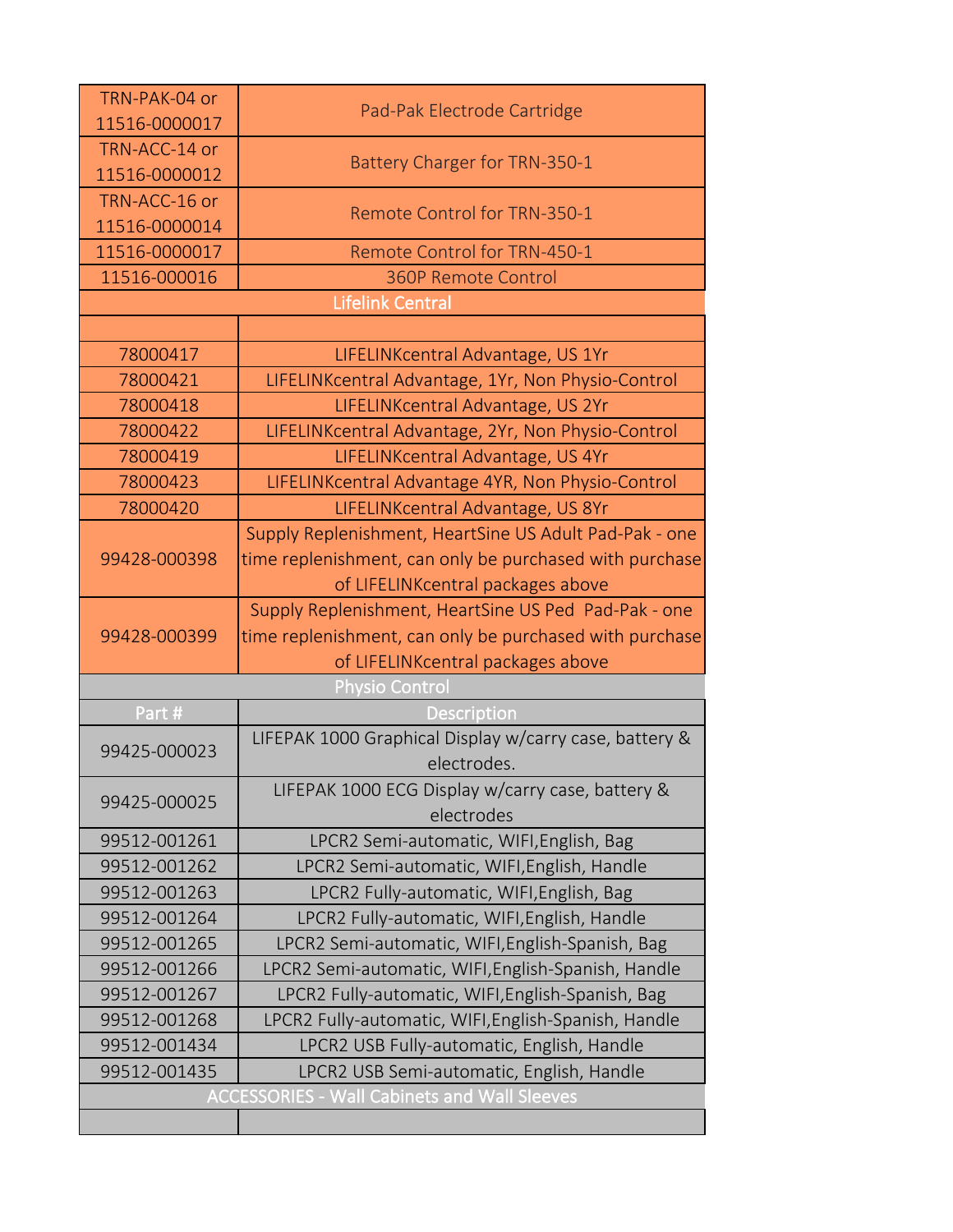| TRN-PAK-04 or<br>11516-0000017                      | Pad-Pak Electrode Cartridge                                           |  |
|-----------------------------------------------------|-----------------------------------------------------------------------|--|
| TRN-ACC-14 or<br>11516-0000012                      | Battery Charger for TRN-350-1                                         |  |
| TRN-ACC-16 or<br>11516-0000014                      | Remote Control for TRN-350-1                                          |  |
| 11516-0000017                                       | Remote Control for TRN-450-1                                          |  |
| 11516-000016                                        | <b>360P Remote Control</b>                                            |  |
| <b>Lifelink Central</b>                             |                                                                       |  |
|                                                     |                                                                       |  |
| 78000417                                            | LIFELINKcentral Advantage, US 1Yr                                     |  |
| 78000421                                            | LIFELINKcentral Advantage, 1Yr, Non Physio-Control                    |  |
| 78000418                                            | LIFELINKcentral Advantage, US 2Yr                                     |  |
| 78000422                                            | LIFELINKcentral Advantage, 2Yr, Non Physio-Control                    |  |
| 78000419                                            | LIFELINKcentral Advantage, US 4Yr                                     |  |
| 78000423                                            | LIFELINKcentral Advantage 4YR, Non Physio-Control                     |  |
| 78000420                                            | LIFELINKcentral Advantage, US 8Yr                                     |  |
|                                                     | Supply Replenishment, HeartSine US Adult Pad-Pak - one                |  |
| 99428-000398                                        | time replenishment, can only be purchased with purchase               |  |
|                                                     | of LIFELINKcentral packages above                                     |  |
|                                                     | Supply Replenishment, HeartSine US Ped Pad-Pak - one                  |  |
| 99428-000399                                        | time replenishment, can only be purchased with purchase               |  |
|                                                     | of LIFELINKcentral packages above                                     |  |
|                                                     | <b>Physio Control</b>                                                 |  |
| Part #                                              | <b>Description</b>                                                    |  |
| 99425-000023                                        | LIFEPAK 1000 Graphical Display w/carry case, battery &<br>electrodes. |  |
| 99425-000025                                        | LIFEPAK 1000 ECG Display w/carry case, battery &<br>electrodes        |  |
| 99512-001261                                        | LPCR2 Semi-automatic, WIFI, English, Bag                              |  |
| 99512-001262                                        | LPCR2 Semi-automatic, WIFI, English, Handle                           |  |
| 99512-001263                                        | LPCR2 Fully-automatic, WIFI, English, Bag                             |  |
| 99512-001264                                        | LPCR2 Fully-automatic, WIFI, English, Handle                          |  |
| 99512-001265                                        | LPCR2 Semi-automatic, WIFI, English-Spanish, Bag                      |  |
| 99512-001266                                        | LPCR2 Semi-automatic, WIFI, English-Spanish, Handle                   |  |
| 99512-001267                                        | LPCR2 Fully-automatic, WIFI, English-Spanish, Bag                     |  |
| 99512-001268                                        | LPCR2 Fully-automatic, WIFI, English-Spanish, Handle                  |  |
| 99512-001434                                        | LPCR2 USB Fully-automatic, English, Handle                            |  |
| 99512-001435                                        | LPCR2 USB Semi-automatic, English, Handle                             |  |
| <b>ACCESSORIES - Wall Cabinets and Wall Sleeves</b> |                                                                       |  |
|                                                     |                                                                       |  |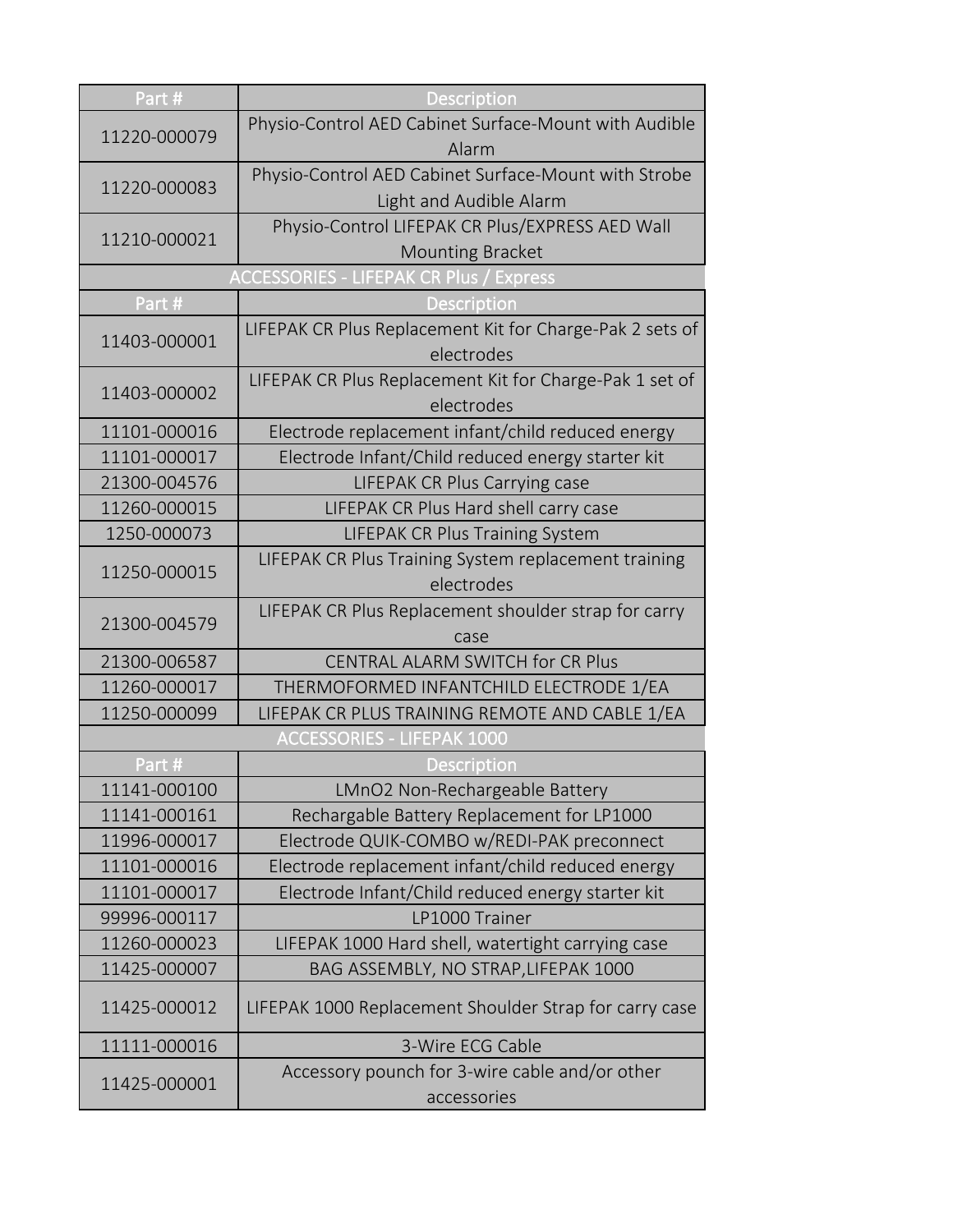| Part #                                         | Description                                              |  |
|------------------------------------------------|----------------------------------------------------------|--|
| 11220-000079                                   | Physio-Control AED Cabinet Surface-Mount with Audible    |  |
|                                                | Alarm                                                    |  |
| 11220-000083                                   | Physio-Control AED Cabinet Surface-Mount with Strobe     |  |
|                                                | Light and Audible Alarm                                  |  |
| 11210-000021                                   | Physio-Control LIFEPAK CR Plus/EXPRESS AED Wall          |  |
|                                                | <b>Mounting Bracket</b>                                  |  |
| <b>ACCESSORIES - LIFEPAK CR Plus / Express</b> |                                                          |  |
| Part #                                         | <b>Description</b>                                       |  |
| 11403-000001                                   | LIFEPAK CR Plus Replacement Kit for Charge-Pak 2 sets of |  |
|                                                | electrodes                                               |  |
|                                                | LIFEPAK CR Plus Replacement Kit for Charge-Pak 1 set of  |  |
| 11403-000002                                   | electrodes                                               |  |
| 11101-000016                                   | Electrode replacement infant/child reduced energy        |  |
| 11101-000017                                   | Electrode Infant/Child reduced energy starter kit        |  |
| 21300-004576                                   | LIFEPAK CR Plus Carrying case                            |  |
| 11260-000015                                   | LIFEPAK CR Plus Hard shell carry case                    |  |
| 1250-000073                                    | LIFEPAK CR Plus Training System                          |  |
| 11250-000015                                   | LIFEPAK CR Plus Training System replacement training     |  |
|                                                | electrodes                                               |  |
| 21300-004579                                   | LIFEPAK CR Plus Replacement shoulder strap for carry     |  |
|                                                | case                                                     |  |
| 21300-006587                                   | <b>CENTRAL ALARM SWITCH for CR Plus</b>                  |  |
| 11260-000017                                   | THERMOFORMED INFANTCHILD ELECTRODE 1/EA                  |  |
| 11250-000099                                   | LIFEPAK CR PLUS TRAINING REMOTE AND CABLE 1/EA           |  |
|                                                | <b>ACCESSORIES - LIFEPAK 1000</b>                        |  |
| Part #                                         | Description                                              |  |
| 11141-000100                                   | LMnO2 Non-Rechargeable Battery                           |  |
| 11141-000161                                   | Rechargable Battery Replacement for LP1000               |  |
| 11996-000017                                   | Electrode QUIK-COMBO w/REDI-PAK preconnect               |  |
| 11101-000016                                   | Electrode replacement infant/child reduced energy        |  |
| 11101-000017                                   | Electrode Infant/Child reduced energy starter kit        |  |
| 99996-000117                                   | LP1000 Trainer                                           |  |
| 11260-000023                                   | LIFEPAK 1000 Hard shell, watertight carrying case        |  |
| 11425-000007                                   | BAG ASSEMBLY, NO STRAP, LIFEPAK 1000                     |  |
| 11425-000012                                   | LIFEPAK 1000 Replacement Shoulder Strap for carry case   |  |
| 11111-000016                                   | 3-Wire ECG Cable                                         |  |
| 11425-000001                                   | Accessory pounch for 3-wire cable and/or other           |  |
|                                                | accessories                                              |  |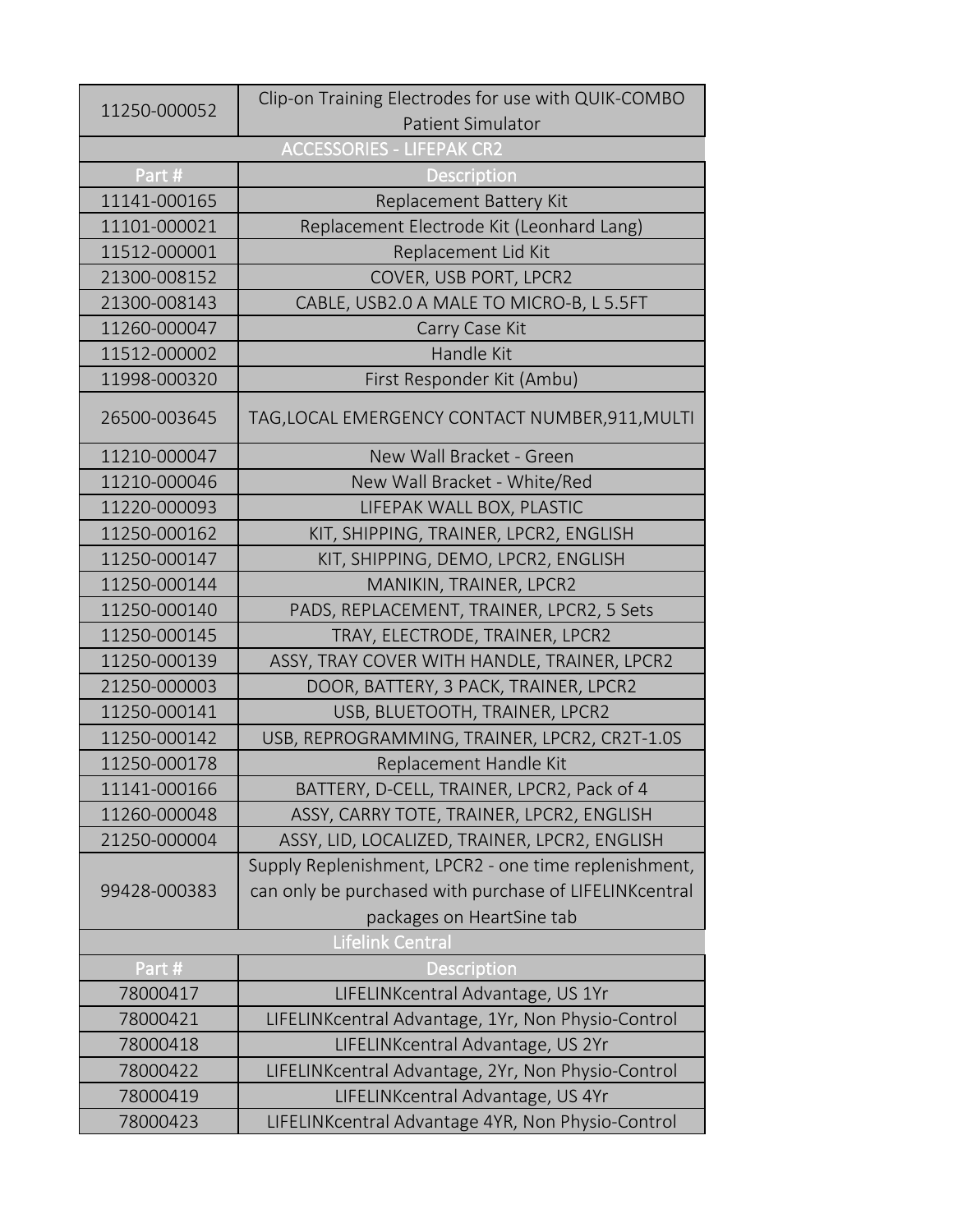| 11250-000052                     | Clip-on Training Electrodes for use with QUIK-COMBO    |  |
|----------------------------------|--------------------------------------------------------|--|
|                                  | <b>Patient Simulator</b>                               |  |
| <b>ACCESSORIES - LIFEPAK CR2</b> |                                                        |  |
| Part #                           | Description                                            |  |
| 11141-000165                     | Replacement Battery Kit                                |  |
| 11101-000021                     | Replacement Electrode Kit (Leonhard Lang)              |  |
| 11512-000001                     | Replacement Lid Kit                                    |  |
| 21300-008152                     | COVER, USB PORT, LPCR2                                 |  |
| 21300-008143                     | CABLE, USB2.0 A MALE TO MICRO-B, L 5.5FT               |  |
| 11260-000047                     | Carry Case Kit                                         |  |
| 11512-000002                     | Handle Kit                                             |  |
| 11998-000320                     | First Responder Kit (Ambu)                             |  |
| 26500-003645                     | TAG, LOCAL EMERGENCY CONTACT NUMBER, 911, MULTI        |  |
| 11210-000047                     | New Wall Bracket - Green                               |  |
| 11210-000046                     | New Wall Bracket - White/Red                           |  |
| 11220-000093                     | LIFEPAK WALL BOX, PLASTIC                              |  |
| 11250-000162                     | KIT, SHIPPING, TRAINER, LPCR2, ENGLISH                 |  |
| 11250-000147                     | KIT, SHIPPING, DEMO, LPCR2, ENGLISH                    |  |
| 11250-000144                     | MANIKIN, TRAINER, LPCR2                                |  |
| 11250-000140                     | PADS, REPLACEMENT, TRAINER, LPCR2, 5 Sets              |  |
| 11250-000145                     | TRAY, ELECTRODE, TRAINER, LPCR2                        |  |
| 11250-000139                     | ASSY, TRAY COVER WITH HANDLE, TRAINER, LPCR2           |  |
| 21250-000003                     | DOOR, BATTERY, 3 PACK, TRAINER, LPCR2                  |  |
| 11250-000141                     | USB, BLUETOOTH, TRAINER, LPCR2                         |  |
| 11250-000142                     | USB, REPROGRAMMING, TRAINER, LPCR2, CR2T-1.0S          |  |
| 11250-000178                     | Replacement Handle Kit                                 |  |
| 11141-000166                     | BATTERY, D-CELL, TRAINER, LPCR2, Pack of 4             |  |
| 11260-000048                     | ASSY, CARRY TOTE, TRAINER, LPCR2, ENGLISH              |  |
| 21250-000004                     | ASSY, LID, LOCALIZED, TRAINER, LPCR2, ENGLISH          |  |
|                                  | Supply Replenishment, LPCR2 - one time replenishment,  |  |
| 99428-000383                     | can only be purchased with purchase of LIFELINKcentral |  |
|                                  | packages on HeartSine tab                              |  |
| <b>Lifelink Central</b>          |                                                        |  |
| Part #                           | <b>Description</b>                                     |  |
| 78000417                         | LIFELINKcentral Advantage, US 1Yr                      |  |
| 78000421                         | LIFELINKcentral Advantage, 1Yr, Non Physio-Control     |  |
| 78000418                         | LIFELINKcentral Advantage, US 2Yr                      |  |
| 78000422                         | LIFELINKcentral Advantage, 2Yr, Non Physio-Control     |  |
| 78000419                         | LIFELINKcentral Advantage, US 4Yr                      |  |
| 78000423                         | LIFELINKcentral Advantage 4YR, Non Physio-Control      |  |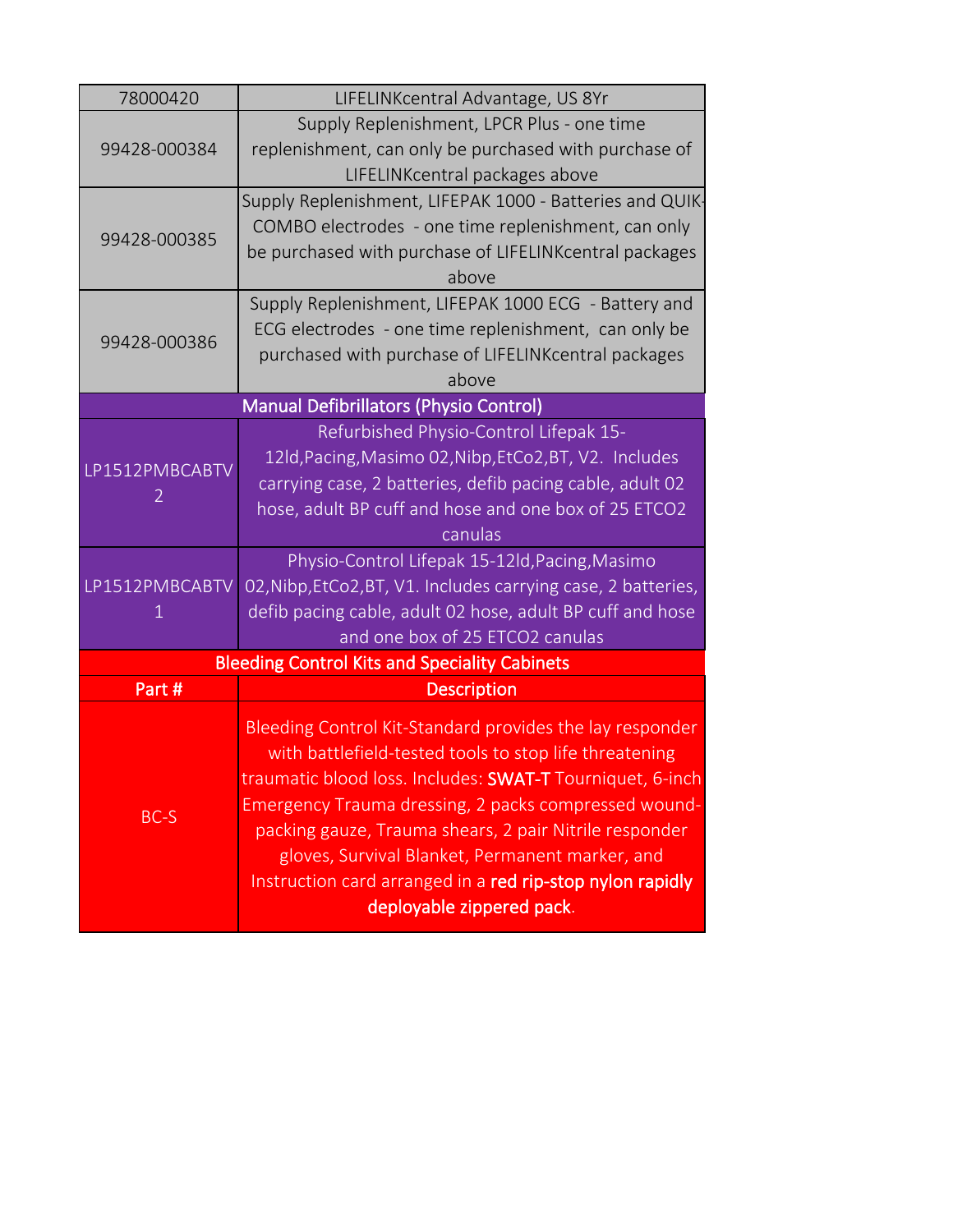| 78000420       | LIFELINKcentral Advantage, US 8Yr                             |
|----------------|---------------------------------------------------------------|
| 99428-000384   | Supply Replenishment, LPCR Plus - one time                    |
|                | replenishment, can only be purchased with purchase of         |
|                | LIFELINKcentral packages above                                |
|                | Supply Replenishment, LIFEPAK 1000 - Batteries and QUIK-      |
| 99428-000385   | COMBO electrodes - one time replenishment, can only           |
|                | be purchased with purchase of LIFELINKcentral packages        |
|                | above                                                         |
|                | Supply Replenishment, LIFEPAK 1000 ECG - Battery and          |
| 99428-000386   | ECG electrodes - one time replenishment, can only be          |
|                | purchased with purchase of LIFELINKcentral packages           |
|                | above                                                         |
|                | <b>Manual Defibrillators (Physio Control)</b>                 |
|                | Refurbished Physio-Control Lifepak 15-                        |
| LP1512PMBCABTV | 12ld, Pacing, Masimo 02, Nibp, EtCo2, BT, V2. Includes        |
| $\overline{2}$ | carrying case, 2 batteries, defib pacing cable, adult 02      |
|                | hose, adult BP cuff and hose and one box of 25 ETCO2          |
|                | canulas                                                       |
|                | Physio-Control Lifepak 15-12ld, Pacing, Masimo                |
| LP1512PMBCABTV | 02, Nibp, EtCo2, BT, V1. Includes carrying case, 2 batteries, |
| 1              | defib pacing cable, adult 02 hose, adult BP cuff and hose     |
|                | and one box of 25 ETCO2 canulas                               |
|                | <b>Bleeding Control Kits and Speciality Cabinets</b>          |
| Part #         | <b>Description</b>                                            |
|                | Bleeding Control Kit-Standard provides the lay responder      |
|                | with battlefield-tested tools to stop life threatening        |
|                | traumatic blood loss. Includes: SWAT-T Tourniquet, 6-inch     |
|                | Emergency Trauma dressing, 2 packs compressed wound-          |
| BC-S           | packing gauze, Trauma shears, 2 pair Nitrile responder        |
|                | gloves, Survival Blanket, Permanent marker, and               |
|                | Instruction card arranged in a red rip-stop nylon rapidly     |
|                | deployable zippered pack.                                     |
|                |                                                               |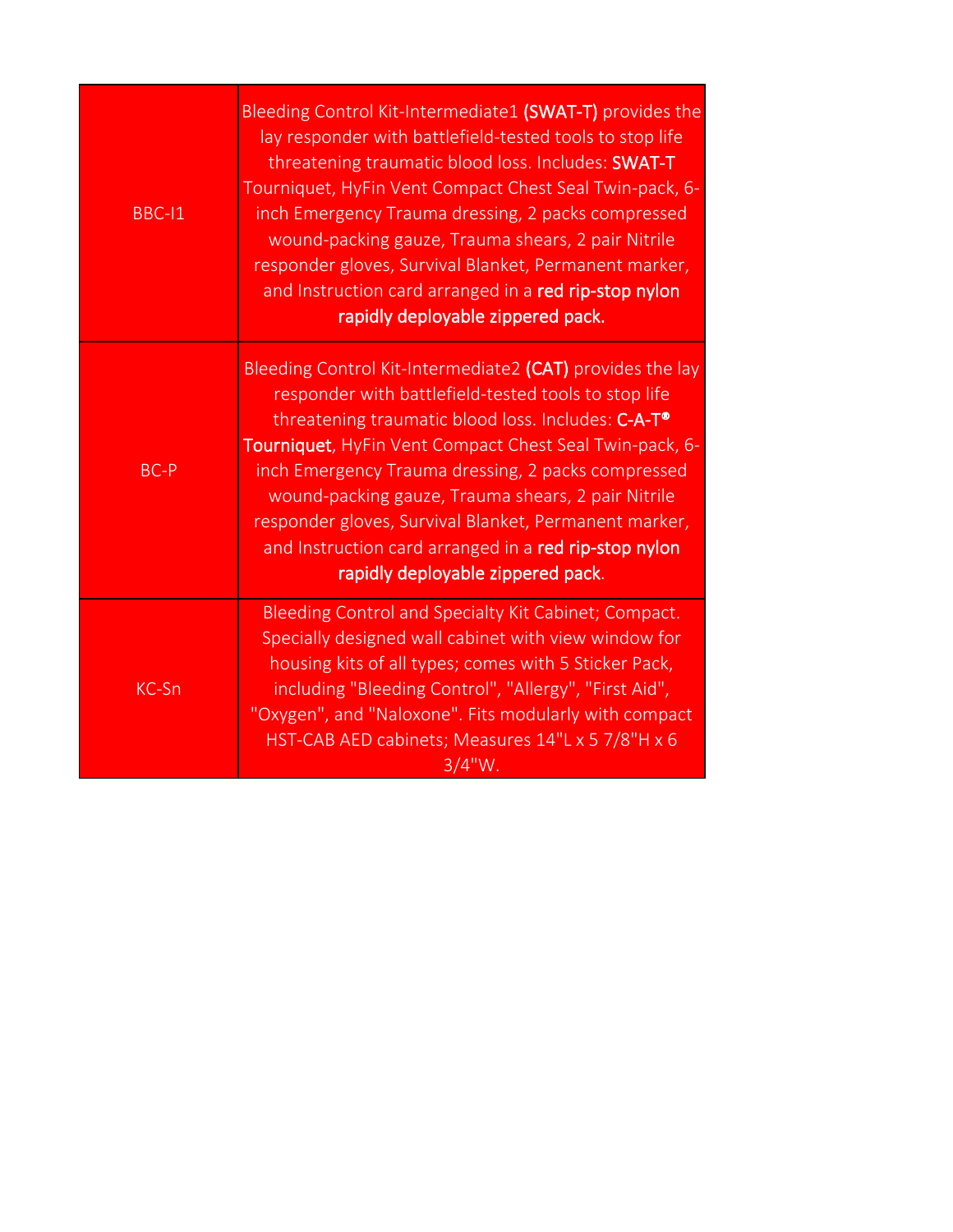| BBC-I1      | Bleeding Control Kit-Intermediate1 (SWAT-T) provides the<br>lay responder with battlefield-tested tools to stop life<br>threatening traumatic blood loss. Includes: SWAT-T<br>Tourniquet, HyFin Vent Compact Chest Seal Twin-pack, 6-<br>inch Emergency Trauma dressing, 2 packs compressed<br>wound-packing gauze, Trauma shears, 2 pair Nitrile<br>responder gloves, Survival Blanket, Permanent marker,<br>and Instruction card arranged in a red rip-stop nylon<br>rapidly deployable zippered pack. |
|-------------|----------------------------------------------------------------------------------------------------------------------------------------------------------------------------------------------------------------------------------------------------------------------------------------------------------------------------------------------------------------------------------------------------------------------------------------------------------------------------------------------------------|
| <b>BC-P</b> | Bleeding Control Kit-Intermediate2 (CAT) provides the lay<br>responder with battlefield-tested tools to stop life<br>threatening traumatic blood loss. Includes: C-A-T®<br>Tourniquet, HyFin Vent Compact Chest Seal Twin-pack, 6-<br>inch Emergency Trauma dressing, 2 packs compressed<br>wound-packing gauze, Trauma shears, 2 pair Nitrile<br>responder gloves, Survival Blanket, Permanent marker,<br>and Instruction card arranged in a red rip-stop nylon<br>rapidly deployable zippered pack.    |
| KC-Sn       | Bleeding Control and Specialty Kit Cabinet; Compact.<br>Specially designed wall cabinet with view window for<br>housing kits of all types; comes with 5 Sticker Pack,<br>including "Bleeding Control", "Allergy", "First Aid",<br>"Oxygen", and "Naloxone". Fits modularly with compact<br>HST-CAB AED cabinets; Measures 14"L x 5 7/8"H x 6<br>$3/4$ "W.                                                                                                                                                |